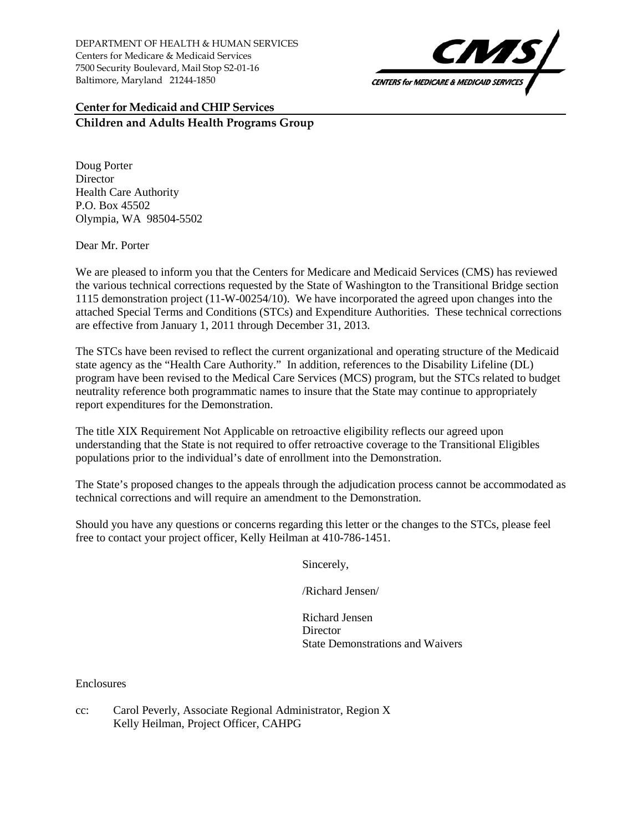DEPARTMENT OF HEALTH & HUMAN SERVICES Centers for Medicare & Medicaid Services 7500 Security Boulevard, Mail Stop S2-01-16 Baltimore, Maryland 21244-1850



## **Center for Medicaid and CHIP Services Children and Adults Health Programs Group**

Doug Porter **Director** Health Care Authority P.O. Box 45502 Olympia, WA 98504-5502

Dear Mr. Porter

We are pleased to inform you that the Centers for Medicare and Medicaid Services (CMS) has reviewed the various technical corrections requested by the State of Washington to the Transitional Bridge section 1115 demonstration project (11-W-00254/10). We have incorporated the agreed upon changes into the attached Special Terms and Conditions (STCs) and Expenditure Authorities. These technical corrections are effective from January 1, 2011 through December 31, 2013.

The STCs have been revised to reflect the current organizational and operating structure of the Medicaid state agency as the "Health Care Authority." In addition, references to the Disability Lifeline (DL) program have been revised to the Medical Care Services (MCS) program, but the STCs related to budget neutrality reference both programmatic names to insure that the State may continue to appropriately report expenditures for the Demonstration.

The title XIX Requirement Not Applicable on retroactive eligibility reflects our agreed upon understanding that the State is not required to offer retroactive coverage to the Transitional Eligibles populations prior to the individual's date of enrollment into the Demonstration.

The State's proposed changes to the appeals through the adjudication process cannot be accommodated as technical corrections and will require an amendment to the Demonstration.

Should you have any questions or concerns regarding this letter or the changes to the STCs, please feel free to contact your project officer, Kelly Heilman at 410-786-1451.

Sincerely,

/Richard Jensen/

Richard Jensen **Director** State Demonstrations and Waivers

Enclosures

cc: Carol Peverly, Associate Regional Administrator, Region X Kelly Heilman, Project Officer, CAHPG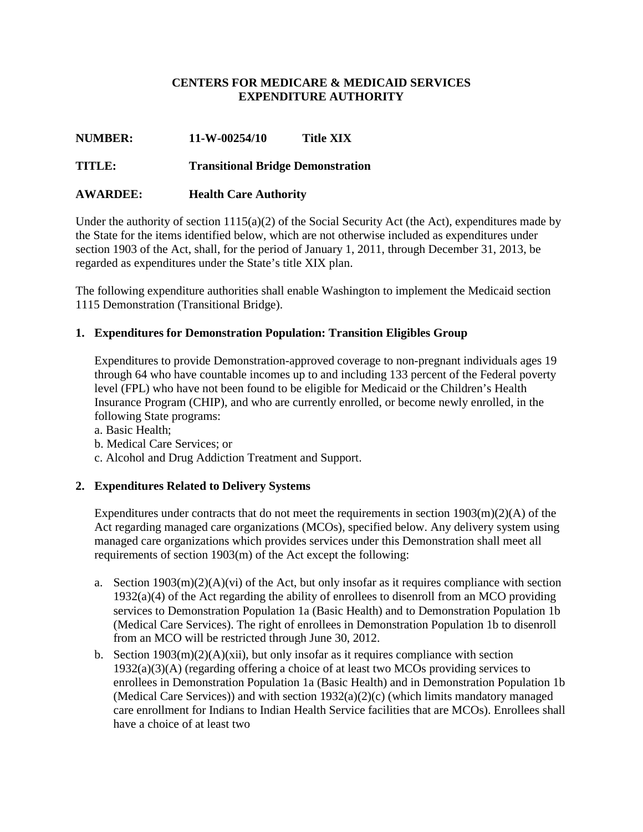### **CENTERS FOR MEDICARE & MEDICAID SERVICES EXPENDITURE AUTHORITY**

## **NUMBER: 11-W-00254/10 Title XIX**

### **TITLE: Transitional Bridge Demonstration**

### **AWARDEE: Health Care Authority**

Under the authority of section  $1115(a)(2)$  of the Social Security Act (the Act), expenditures made by the State for the items identified below, which are not otherwise included as expenditures under section 1903 of the Act, shall, for the period of January 1, 2011, through December 31, 2013, be regarded as expenditures under the State's title XIX plan.

The following expenditure authorities shall enable Washington to implement the Medicaid section 1115 Demonstration (Transitional Bridge).

#### **1. Expenditures for Demonstration Population: Transition Eligibles Group**

Expenditures to provide Demonstration-approved coverage to non-pregnant individuals ages 19 through 64 who have countable incomes up to and including 133 percent of the Federal poverty level (FPL) who have not been found to be eligible for Medicaid or the Children's Health Insurance Program (CHIP), and who are currently enrolled, or become newly enrolled, in the following State programs:

a. Basic Health;

- b. Medical Care Services; or
- c. Alcohol and Drug Addiction Treatment and Support.

#### **2. Expenditures Related to Delivery Systems**

Expenditures under contracts that do not meet the requirements in section  $1903(m)(2)(A)$  of the Act regarding managed care organizations (MCOs), specified below. Any delivery system using managed care organizations which provides services under this Demonstration shall meet all requirements of section 1903(m) of the Act except the following:

- a. Section  $1903(m)(2)(A)(vi)$  of the Act, but only insofar as it requires compliance with section 1932(a)(4) of the Act regarding the ability of enrollees to disenroll from an MCO providing services to Demonstration Population 1a (Basic Health) and to Demonstration Population 1b (Medical Care Services). The right of enrollees in Demonstration Population 1b to disenroll from an MCO will be restricted through June 30, 2012.
- b. Section  $1903(m)(2)(A)(xii)$ , but only insofar as it requires compliance with section 1932(a)(3)(A) (regarding offering a choice of at least two MCOs providing services to enrollees in Demonstration Population 1a (Basic Health) and in Demonstration Population 1b (Medical Care Services)) and with section 1932(a)(2)(c) (which limits mandatory managed care enrollment for Indians to Indian Health Service facilities that are MCOs). Enrollees shall have a choice of at least two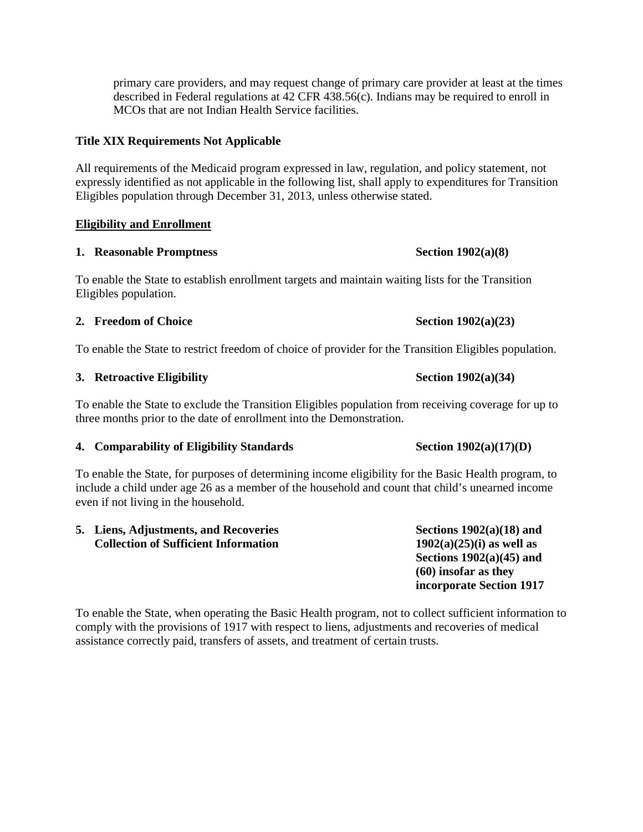primary care providers, and may request change of primary care provider at least at the times described in Federal regulations at 42 CFR 438.56(c). Indians may be required to enroll in MCOs that are not Indian Health Service facilities.

#### **Title XIX Requirements Not Applicable**

All requirements of the Medicaid program expressed in law, regulation, and policy statement, not expressly identified as not applicable in the following list, shall apply to expenditures for Transition Eligibles population through December 31, 2013, unless otherwise stated.

#### **Eligibility and Enrollment**

#### **1. Reasonable Promptness Section 1902(a)(8)**

To enable the State to establish enrollment targets and maintain waiting lists for the Transition Eligibles population.

#### **2. Freedom of Choice Section 1902(a)(23)**

To enable the State to restrict freedom of choice of provider for the Transition Eligibles population.

#### **3. Retroactive Eligibility** Section 1902(a)(34)

To enable the State to exclude the Transition Eligibles population from receiving coverage for up to three months prior to the date of enrollment into the Demonstration.

#### **4.** Comparability of Eligibility Standards Section 1902(a)(17)(D)

To enable the State, for purposes of determining income eligibility for the Basic Health program, to include a child under age 26 as a member of the household and count that child's unearned income even if not living in the household.

| 5. Liens, Adjustments, and Recoveries       | Sections $1902(a)(18)$ and  |
|---------------------------------------------|-----------------------------|
| <b>Collection of Sufficient Information</b> | $1902(a)(25)(i)$ as well as |
|                                             | Sections $1902(a)(45)$ and  |
|                                             | $(60)$ insofar as they      |
|                                             | incorporate Section 1917    |

To enable the State, when operating the Basic Health program, not to collect sufficient information to comply with the provisions of 1917 with respect to liens, adjustments and recoveries of medical assistance correctly paid, transfers of assets, and treatment of certain trusts.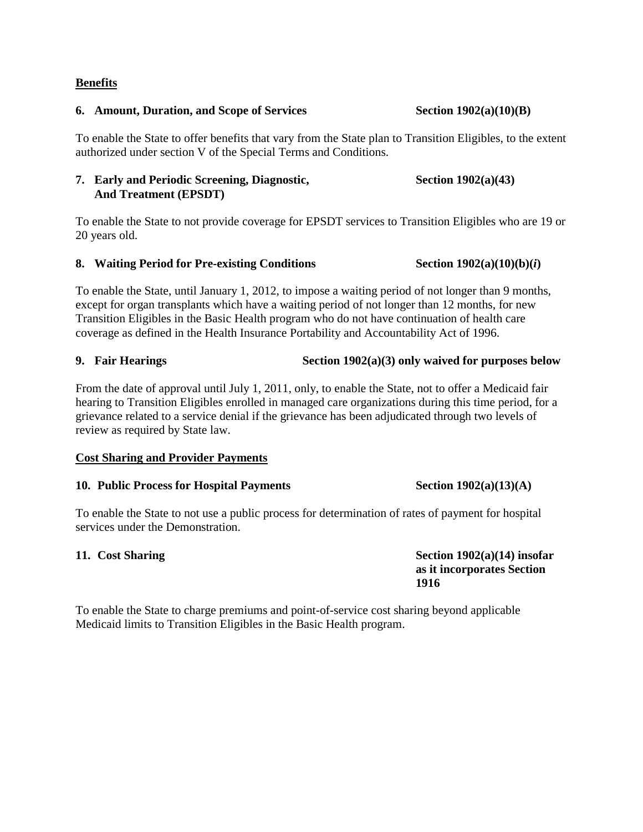#### **Benefits**

#### **6. Amount, Duration, and Scope of Services Section 1902(a)(10)(B)**

To enable the State to offer benefits that vary from the State plan to Transition Eligibles, to the extent authorized under section V of the Special Terms and Conditions.

#### **7. Early and Periodic Screening, Diagnostic, And Treatment (EPSDT)**

To enable the State to not provide coverage for EPSDT services to Transition Eligibles who are 19 or 20 years old.

#### **8.** Waiting Period for Pre-existing Conditions Section 1902(a)(10)(b)(*i*)

To enable the State, until January 1, 2012, to impose a waiting period of not longer than 9 months, except for organ transplants which have a waiting period of not longer than 12 months, for new Transition Eligibles in the Basic Health program who do not have continuation of health care coverage as defined in the Health Insurance Portability and Accountability Act of 1996.

#### **9. Fair Hearings Section 1902(a)(3) only waived for purposes below**

# From the date of approval until July 1, 2011, only, to enable the State, not to offer a Medicaid fair hearing to Transition Eligibles enrolled in managed care organizations during this time period, for a grievance related to a service denial if the grievance has been adjudicated through two levels of

review as required by State law.

#### **Cost Sharing and Provider Payments**

#### **10.** Public Process for Hospital Payments Section 1902(a)(13)(A)

To enable the State to not use a public process for determination of rates of payment for hospital services under the Demonstration.

**11.** Cost Sharing Section 1902(a)(14) insofar **as it incorporates Section 1916** 

To enable the State to charge premiums and point-of-service cost sharing beyond applicable Medicaid limits to Transition Eligibles in the Basic Health program.

 **Section 1902(a)(43)**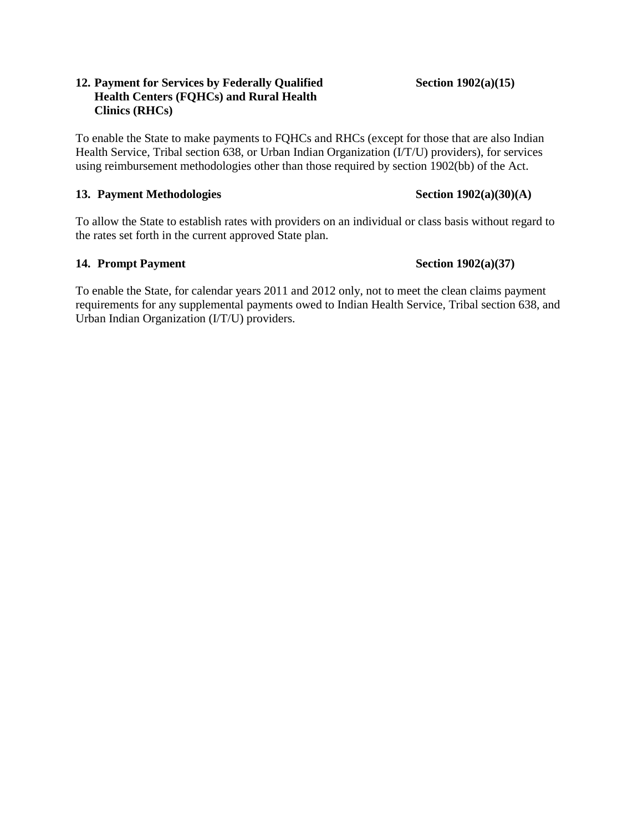#### **12. Payment for Services by Federally Qualified Health Centers (FQHCs) and Rural Health Clinics (RHCs)**

To enable the State to make payments to FQHCs and RHCs (except for those that are also Indian Health Service, Tribal section 638, or Urban Indian Organization (I/T/U) providers), for services using reimbursement methodologies other than those required by section 1902(bb) of the Act.

#### 13. Payment Methodologies Section 1902(a)(30)(A)

To allow the State to establish rates with providers on an individual or class basis without regard to the rates set forth in the current approved State plan.

### **14. Prompt Payment** Section 1902(a)(37)

To enable the State, for calendar years 2011 and 2012 only, not to meet the clean claims payment requirements for any supplemental payments owed to Indian Health Service, Tribal section 638, and Urban Indian Organization (I/T/U) providers.

#### **Section 1902(a)(15)**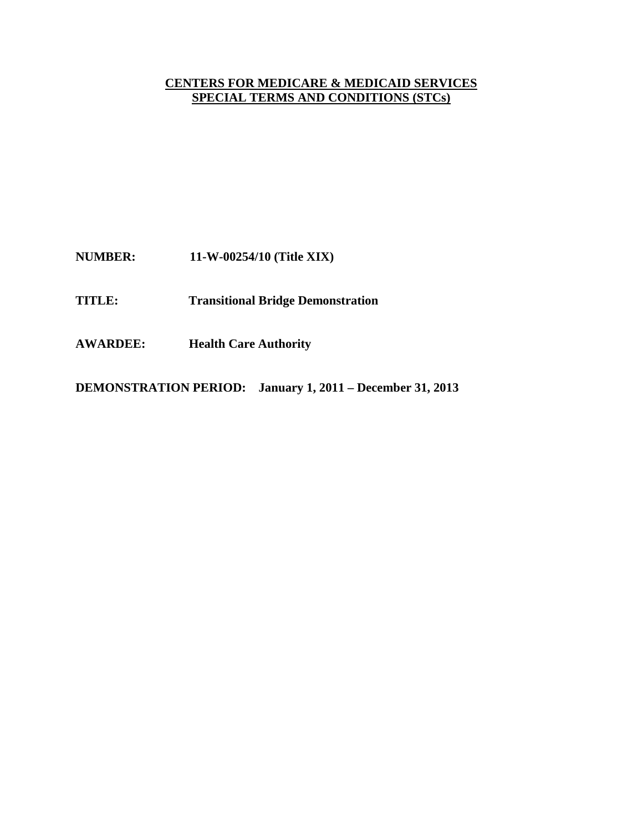# **CENTERS FOR MEDICARE & MEDICAID SERVICES SPECIAL TERMS AND CONDITIONS (STCs)**

**NUMBER: 11-W-00254/10 (Title XIX)**

- **TITLE: Transitional Bridge Demonstration**
- **AWARDEE: Health Care Authority**

**DEMONSTRATION PERIOD: January 1, 2011 – December 31, 2013**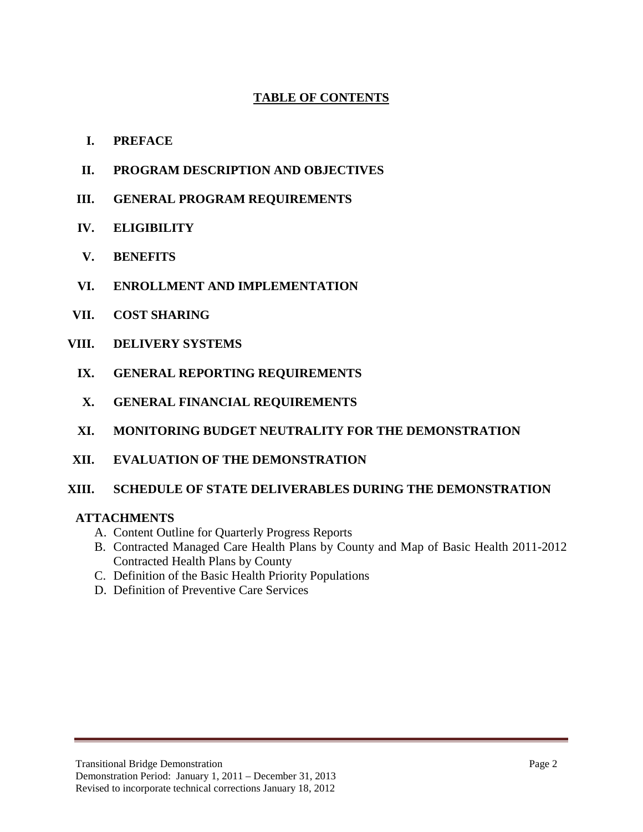# **TABLE OF CONTENTS**

- **I. PREFACE**
- **II. PROGRAM DESCRIPTION AND OBJECTIVES**
- **III. GENERAL PROGRAM REQUIREMENTS**
- **IV. ELIGIBILITY**
- **V. BENEFITS**
- **VI. ENROLLMENT AND IMPLEMENTATION**
- **VII. COST SHARING**
- **VIII. DELIVERY SYSTEMS**
	- **IX. GENERAL REPORTING REQUIREMENTS**
	- **X. GENERAL FINANCIAL REQUIREMENTS**
	- **XI. MONITORING BUDGET NEUTRALITY FOR THE DEMONSTRATION**
- **XII. EVALUATION OF THE DEMONSTRATION**

#### **XIII. SCHEDULE OF STATE DELIVERABLES DURING THE DEMONSTRATION**

#### **ATTACHMENTS**

- A. Content Outline for Quarterly Progress Reports
- B. Contracted Managed Care Health Plans by County and Map of Basic Health 2011-2012 Contracted Health Plans by County
- C. Definition of the Basic Health Priority Populations
- D. Definition of Preventive Care Services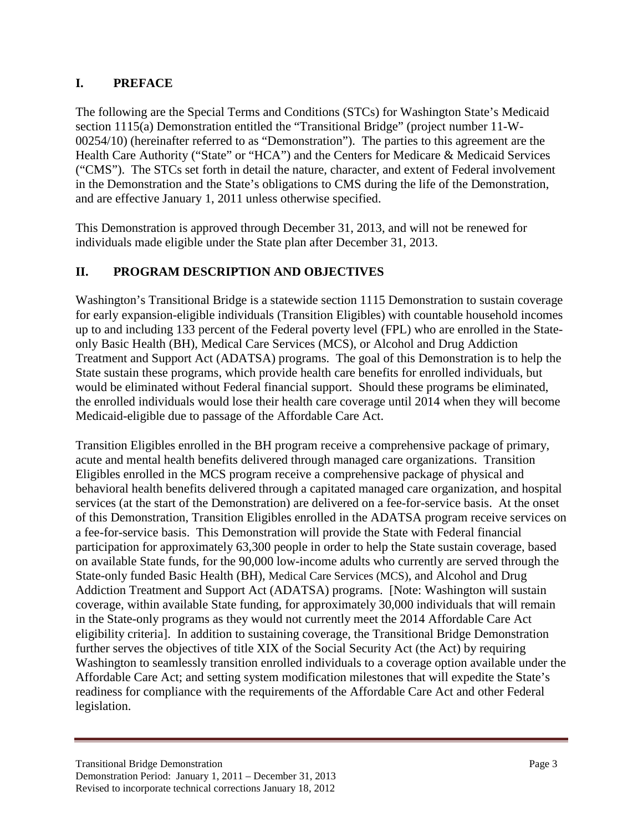# **I. PREFACE**

The following are the Special Terms and Conditions (STCs) for Washington State's Medicaid section 1115(a) Demonstration entitled the "Transitional Bridge" (project number 11-W-00254/10) (hereinafter referred to as "Demonstration"). The parties to this agreement are the Health Care Authority ("State" or "HCA") and the Centers for Medicare & Medicaid Services ("CMS"). The STCs set forth in detail the nature, character, and extent of Federal involvement in the Demonstration and the State's obligations to CMS during the life of the Demonstration, and are effective January 1, 2011 unless otherwise specified.

This Demonstration is approved through December 31, 2013, and will not be renewed for individuals made eligible under the State plan after December 31, 2013.

# **II. PROGRAM DESCRIPTION AND OBJECTIVES**

Washington's Transitional Bridge is a statewide section 1115 Demonstration to sustain coverage for early expansion-eligible individuals (Transition Eligibles) with countable household incomes up to and including 133 percent of the Federal poverty level (FPL) who are enrolled in the Stateonly Basic Health (BH), Medical Care Services (MCS), or Alcohol and Drug Addiction Treatment and Support Act (ADATSA) programs. The goal of this Demonstration is to help the State sustain these programs, which provide health care benefits for enrolled individuals, but would be eliminated without Federal financial support. Should these programs be eliminated, the enrolled individuals would lose their health care coverage until 2014 when they will become Medicaid-eligible due to passage of the Affordable Care Act.

Transition Eligibles enrolled in the BH program receive a comprehensive package of primary, acute and mental health benefits delivered through managed care organizations. Transition Eligibles enrolled in the MCS program receive a comprehensive package of physical and behavioral health benefits delivered through a capitated managed care organization, and hospital services (at the start of the Demonstration) are delivered on a fee-for-service basis. At the onset of this Demonstration, Transition Eligibles enrolled in the ADATSA program receive services on a fee-for-service basis. This Demonstration will provide the State with Federal financial participation for approximately 63,300 people in order to help the State sustain coverage, based on available State funds, for the 90,000 low-income adults who currently are served through the State-only funded Basic Health (BH), Medical Care Services (MCS), and Alcohol and Drug Addiction Treatment and Support Act (ADATSA) programs. [Note: Washington will sustain coverage, within available State funding, for approximately 30,000 individuals that will remain in the State-only programs as they would not currently meet the 2014 Affordable Care Act eligibility criteria]. In addition to sustaining coverage, the Transitional Bridge Demonstration further serves the objectives of title XIX of the Social Security Act (the Act) by requiring Washington to seamlessly transition enrolled individuals to a coverage option available under the Affordable Care Act; and setting system modification milestones that will expedite the State's readiness for compliance with the requirements of the Affordable Care Act and other Federal legislation.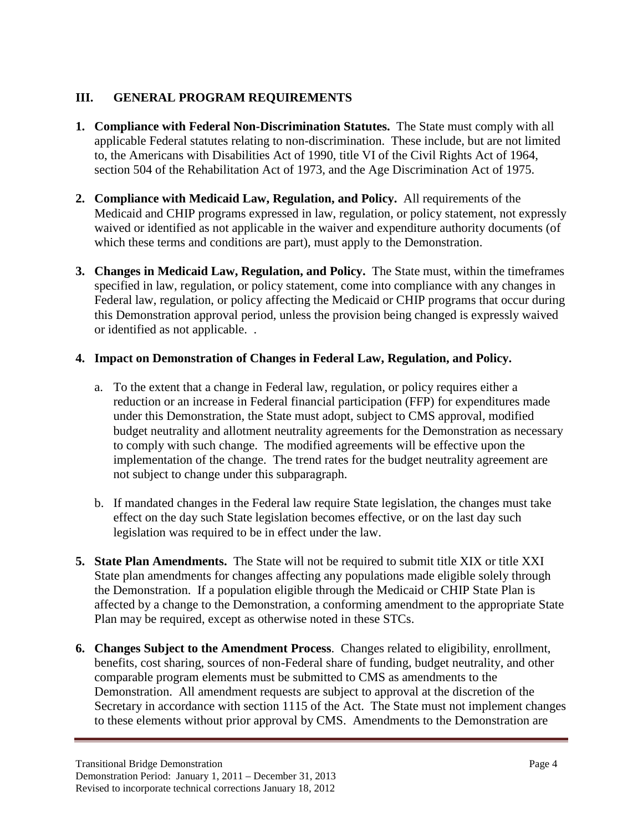# **III. GENERAL PROGRAM REQUIREMENTS**

- **1. Compliance with Federal Non-Discrimination Statutes.** The State must comply with all applicable Federal statutes relating to non-discrimination. These include, but are not limited to, the Americans with Disabilities Act of 1990, title VI of the Civil Rights Act of 1964, section 504 of the Rehabilitation Act of 1973, and the Age Discrimination Act of 1975.
- **2. Compliance with Medicaid Law, Regulation, and Policy.** All requirements of the Medicaid and CHIP programs expressed in law, regulation, or policy statement, not expressly waived or identified as not applicable in the waiver and expenditure authority documents (of which these terms and conditions are part), must apply to the Demonstration.
- **3. Changes in Medicaid Law, Regulation, and Policy.** The State must, within the timeframes specified in law, regulation, or policy statement, come into compliance with any changes in Federal law, regulation, or policy affecting the Medicaid or CHIP programs that occur during this Demonstration approval period, unless the provision being changed is expressly waived or identified as not applicable. .

## **4. Impact on Demonstration of Changes in Federal Law, Regulation, and Policy.**

- a. To the extent that a change in Federal law, regulation, or policy requires either a reduction or an increase in Federal financial participation (FFP) for expenditures made under this Demonstration, the State must adopt, subject to CMS approval, modified budget neutrality and allotment neutrality agreements for the Demonstration as necessary to comply with such change. The modified agreements will be effective upon the implementation of the change. The trend rates for the budget neutrality agreement are not subject to change under this subparagraph.
- b. If mandated changes in the Federal law require State legislation, the changes must take effect on the day such State legislation becomes effective, or on the last day such legislation was required to be in effect under the law.
- **5. State Plan Amendments.** The State will not be required to submit title XIX or title XXI State plan amendments for changes affecting any populations made eligible solely through the Demonstration. If a population eligible through the Medicaid or CHIP State Plan is affected by a change to the Demonstration, a conforming amendment to the appropriate State Plan may be required, except as otherwise noted in these STCs.
- **6. Changes Subject to the Amendment Process**. Changes related to eligibility, enrollment, benefits, cost sharing, sources of non-Federal share of funding, budget neutrality, and other comparable program elements must be submitted to CMS as amendments to the Demonstration. All amendment requests are subject to approval at the discretion of the Secretary in accordance with section 1115 of the Act. The State must not implement changes to these elements without prior approval by CMS. Amendments to the Demonstration are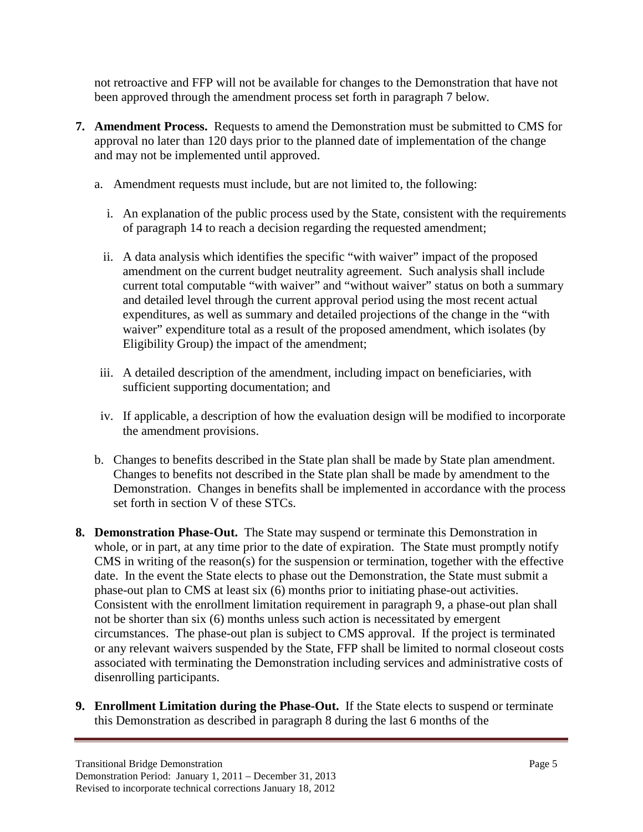not retroactive and FFP will not be available for changes to the Demonstration that have not been approved through the amendment process set forth in paragraph 7 below*.*

- **7. Amendment Process.** Requests to amend the Demonstration must be submitted to CMS for approval no later than 120 days prior to the planned date of implementation of the change and may not be implemented until approved.
	- a. Amendment requests must include, but are not limited to, the following:
		- i. An explanation of the public process used by the State, consistent with the requirements of paragraph 14 to reach a decision regarding the requested amendment;
		- ii. A data analysis which identifies the specific "with waiver" impact of the proposed amendment on the current budget neutrality agreement. Such analysis shall include current total computable "with waiver" and "without waiver" status on both a summary and detailed level through the current approval period using the most recent actual expenditures, as well as summary and detailed projections of the change in the "with waiver" expenditure total as a result of the proposed amendment, which isolates (by Eligibility Group) the impact of the amendment;
	- iii. A detailed description of the amendment, including impact on beneficiaries, with sufficient supporting documentation; and
	- iv. If applicable, a description of how the evaluation design will be modified to incorporate the amendment provisions.
	- b. Changes to benefits described in the State plan shall be made by State plan amendment. Changes to benefits not described in the State plan shall be made by amendment to the Demonstration. Changes in benefits shall be implemented in accordance with the process set forth in section V of these STCs.
- **8. Demonstration Phase-Out.** The State may suspend or terminate this Demonstration in whole, or in part, at any time prior to the date of expiration. The State must promptly notify CMS in writing of the reason(s) for the suspension or termination, together with the effective date. In the event the State elects to phase out the Demonstration, the State must submit a phase-out plan to CMS at least six (6) months prior to initiating phase-out activities. Consistent with the enrollment limitation requirement in paragraph 9, a phase-out plan shall not be shorter than six (6) months unless such action is necessitated by emergent circumstances. The phase-out plan is subject to CMS approval. If the project is terminated or any relevant waivers suspended by the State, FFP shall be limited to normal closeout costs associated with terminating the Demonstration including services and administrative costs of disenrolling participants.
- **9. Enrollment Limitation during the Phase-Out.** If the State elects to suspend or terminate this Demonstration as described in paragraph 8 during the last 6 months of the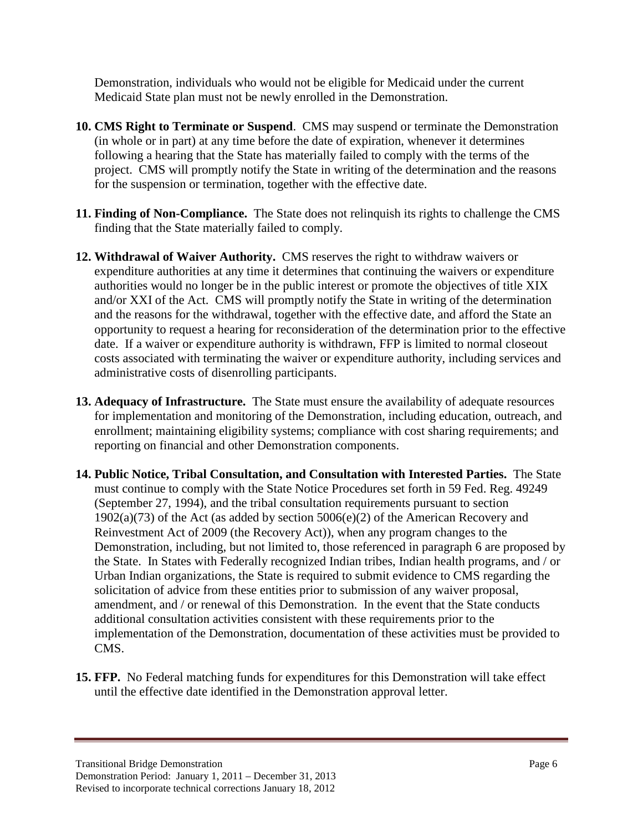Demonstration, individuals who would not be eligible for Medicaid under the current Medicaid State plan must not be newly enrolled in the Demonstration.

- **10. CMS Right to Terminate or Suspend**. CMS may suspend or terminate the Demonstration (in whole or in part) at any time before the date of expiration, whenever it determines following a hearing that the State has materially failed to comply with the terms of the project. CMS will promptly notify the State in writing of the determination and the reasons for the suspension or termination, together with the effective date.
- **11. Finding of Non-Compliance.** The State does not relinquish its rights to challenge the CMS finding that the State materially failed to comply.
- **12. Withdrawal of Waiver Authority.** CMS reserves the right to withdraw waivers or expenditure authorities at any time it determines that continuing the waivers or expenditure authorities would no longer be in the public interest or promote the objectives of title XIX and/or XXI of the Act. CMS will promptly notify the State in writing of the determination and the reasons for the withdrawal, together with the effective date, and afford the State an opportunity to request a hearing for reconsideration of the determination prior to the effective date. If a waiver or expenditure authority is withdrawn, FFP is limited to normal closeout costs associated with terminating the waiver or expenditure authority, including services and administrative costs of disenrolling participants.
- **13. Adequacy of Infrastructure.** The State must ensure the availability of adequate resources for implementation and monitoring of the Demonstration, including education, outreach, and enrollment; maintaining eligibility systems; compliance with cost sharing requirements; and reporting on financial and other Demonstration components.
- **14. Public Notice, Tribal Consultation, and Consultation with Interested Parties.** The State must continue to comply with the State Notice Procedures set forth in 59 Fed. Reg. 49249 (September 27, 1994), and the tribal consultation requirements pursuant to section 1902(a)(73) of the Act (as added by section 5006(e)(2) of the American Recovery and Reinvestment Act of 2009 (the Recovery Act)), when any program changes to the Demonstration, including, but not limited to, those referenced in paragraph 6 are proposed by the State. In States with Federally recognized Indian tribes, Indian health programs, and / or Urban Indian organizations, the State is required to submit evidence to CMS regarding the solicitation of advice from these entities prior to submission of any waiver proposal, amendment, and / or renewal of this Demonstration. In the event that the State conducts additional consultation activities consistent with these requirements prior to the implementation of the Demonstration, documentation of these activities must be provided to CMS.
- **15. FFP.** No Federal matching funds for expenditures for this Demonstration will take effect until the effective date identified in the Demonstration approval letter.

Transitional Bridge Demonstration **Page 6** 

Demonstration Period: January 1, 2011 – December 31, 2013 Revised to incorporate technical corrections January 18, 2012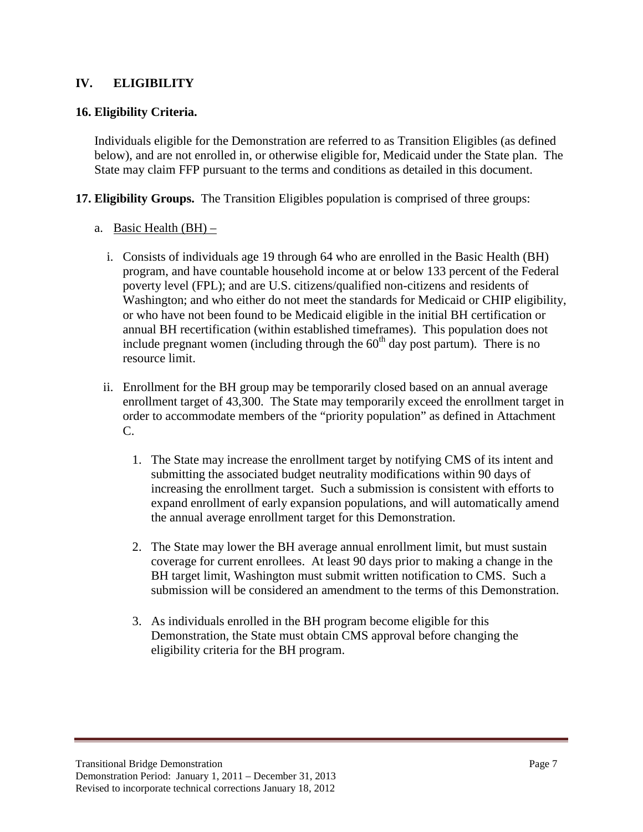## **IV. ELIGIBILITY**

## **16. Eligibility Criteria.**

Individuals eligible for the Demonstration are referred to as Transition Eligibles (as defined below), and are not enrolled in, or otherwise eligible for, Medicaid under the State plan. The State may claim FFP pursuant to the terms and conditions as detailed in this document.

**17. Eligibility Groups.** The Transition Eligibles population is comprised of three groups:

- a. Basic Health (BH)
	- i. Consists of individuals age 19 through 64 who are enrolled in the Basic Health (BH) program, and have countable household income at or below 133 percent of the Federal poverty level (FPL); and are U.S. citizens/qualified non-citizens and residents of Washington; and who either do not meet the standards for Medicaid or CHIP eligibility, or who have not been found to be Medicaid eligible in the initial BH certification or annual BH recertification (within established timeframes). This population does not include pregnant women (including through the  $60<sup>th</sup>$  day post partum). There is no resource limit.
	- ii. Enrollment for the BH group may be temporarily closed based on an annual average enrollment target of 43,300. The State may temporarily exceed the enrollment target in order to accommodate members of the "priority population" as defined in Attachment C.
		- 1. The State may increase the enrollment target by notifying CMS of its intent and submitting the associated budget neutrality modifications within 90 days of increasing the enrollment target. Such a submission is consistent with efforts to expand enrollment of early expansion populations, and will automatically amend the annual average enrollment target for this Demonstration.
		- 2. The State may lower the BH average annual enrollment limit, but must sustain coverage for current enrollees. At least 90 days prior to making a change in the BH target limit, Washington must submit written notification to CMS. Such a submission will be considered an amendment to the terms of this Demonstration.
		- 3. As individuals enrolled in the BH program become eligible for this Demonstration, the State must obtain CMS approval before changing the eligibility criteria for the BH program.

Transitional Bridge Demonstration Page 7 Demonstration Period: January 1, 2011 – December 31, 2013 Revised to incorporate technical corrections January 18, 2012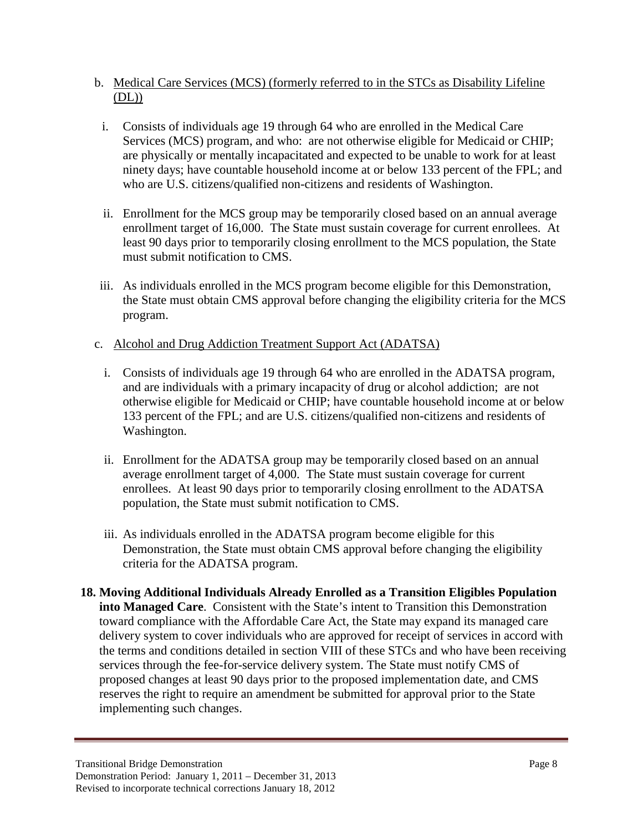- b. Medical Care Services (MCS) (formerly referred to in the STCs as Disability Lifeline  $(DL)$
- i. Consists of individuals age 19 through 64 who are enrolled in the Medical Care Services (MCS) program, and who: are not otherwise eligible for Medicaid or CHIP; are physically or mentally incapacitated and expected to be unable to work for at least ninety days; have countable household income at or below 133 percent of the FPL; and who are U.S. citizens/qualified non-citizens and residents of Washington.
- ii. Enrollment for the MCS group may be temporarily closed based on an annual average enrollment target of 16,000. The State must sustain coverage for current enrollees. At least 90 days prior to temporarily closing enrollment to the MCS population, the State must submit notification to CMS.
- iii. As individuals enrolled in the MCS program become eligible for this Demonstration, the State must obtain CMS approval before changing the eligibility criteria for the MCS program.
- c. Alcohol and Drug Addiction Treatment Support Act (ADATSA)
	- i. Consists of individuals age 19 through 64 who are enrolled in the ADATSA program, and are individuals with a primary incapacity of drug or alcohol addiction; are not otherwise eligible for Medicaid or CHIP; have countable household income at or below 133 percent of the FPL; and are U.S. citizens/qualified non-citizens and residents of Washington.
	- ii. Enrollment for the ADATSA group may be temporarily closed based on an annual average enrollment target of 4,000. The State must sustain coverage for current enrollees. At least 90 days prior to temporarily closing enrollment to the ADATSA population, the State must submit notification to CMS.
	- iii. As individuals enrolled in the ADATSA program become eligible for this Demonstration, the State must obtain CMS approval before changing the eligibility criteria for the ADATSA program.
- **18. Moving Additional Individuals Already Enrolled as a Transition Eligibles Population into Managed Care**. Consistent with the State's intent to Transition this Demonstration toward compliance with the Affordable Care Act, the State may expand its managed care delivery system to cover individuals who are approved for receipt of services in accord with the terms and conditions detailed in section VIII of these STCs and who have been receiving services through the fee-for-service delivery system. The State must notify CMS of proposed changes at least 90 days prior to the proposed implementation date, and CMS reserves the right to require an amendment be submitted for approval prior to the State implementing such changes.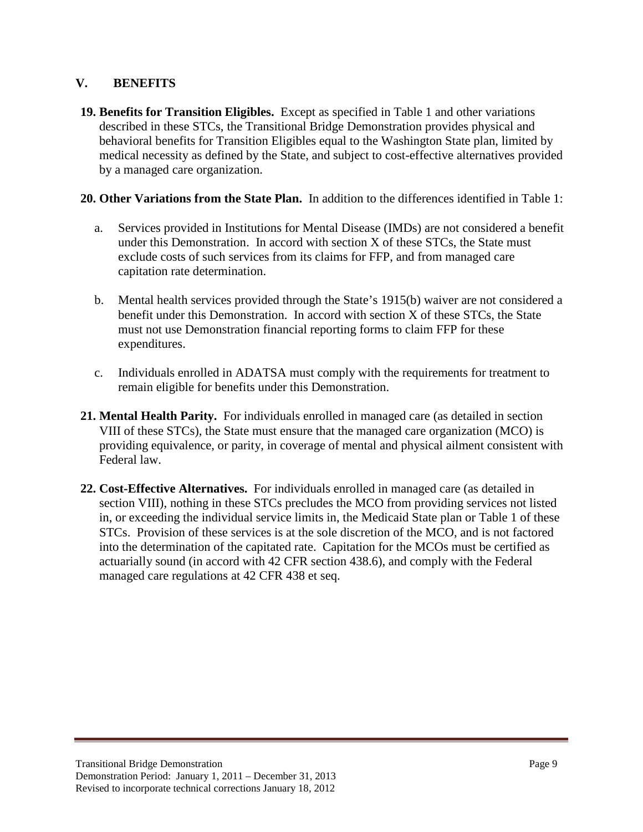## **V. BENEFITS**

**19. Benefits for Transition Eligibles.** Except as specified in Table 1 and other variations described in these STCs, the Transitional Bridge Demonstration provides physical and behavioral benefits for Transition Eligibles equal to the Washington State plan, limited by medical necessity as defined by the State, and subject to cost-effective alternatives provided by a managed care organization.

### **20. Other Variations from the State Plan.** In addition to the differences identified in Table 1:

- a. Services provided in Institutions for Mental Disease (IMDs) are not considered a benefit under this Demonstration. In accord with section X of these STCs, the State must exclude costs of such services from its claims for FFP, and from managed care capitation rate determination.
- b. Mental health services provided through the State's 1915(b) waiver are not considered a benefit under this Demonstration. In accord with section X of these STCs, the State must not use Demonstration financial reporting forms to claim FFP for these expenditures.
- c. Individuals enrolled in ADATSA must comply with the requirements for treatment to remain eligible for benefits under this Demonstration.
- **21. Mental Health Parity.** For individuals enrolled in managed care (as detailed in section VIII of these STCs), the State must ensure that the managed care organization (MCO) is providing equivalence, or parity, in coverage of mental and physical ailment consistent with Federal law.
- **22. Cost-Effective Alternatives.** For individuals enrolled in managed care (as detailed in section VIII), nothing in these STCs precludes the MCO from providing services not listed in, or exceeding the individual service limits in, the Medicaid State plan or Table 1 of these STCs. Provision of these services is at the sole discretion of the MCO, and is not factored into the determination of the capitated rate. Capitation for the MCOs must be certified as actuarially sound (in accord with 42 CFR section 438.6), and comply with the Federal managed care regulations at 42 CFR 438 et seq.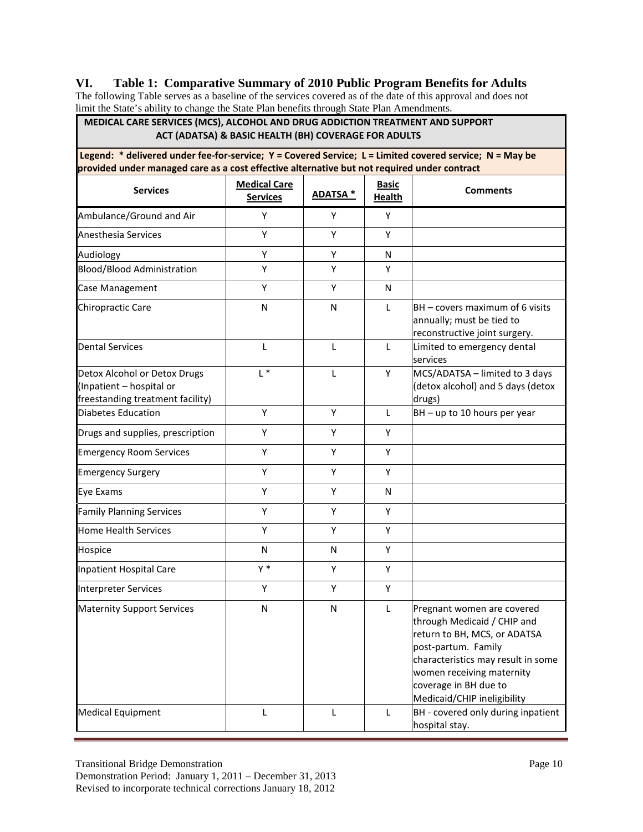### **VI. Table 1: Comparative Summary of 2010 Public Program Benefits for Adults**

The following Table serves as a baseline of the services covered as of the date of this approval and does not limit the State's ability to change the State Plan benefits through State Plan Amendments.

| MEDICAL CARE SERVICES (MCS), ALCOHOL AND DRUG ADDICTION TREATMENT AND SUPPORT<br>ACT (ADATSA) & BASIC HEALTH (BH) COVERAGE FOR ADULTS<br>Legend: * delivered under fee-for-service; Y = Covered Service; L = Limited covered service; N = May be<br>provided under managed care as a cost effective alternative but not required under contract |       |   |   |                                                                                                                                                                                                                                             |  |  |
|-------------------------------------------------------------------------------------------------------------------------------------------------------------------------------------------------------------------------------------------------------------------------------------------------------------------------------------------------|-------|---|---|---------------------------------------------------------------------------------------------------------------------------------------------------------------------------------------------------------------------------------------------|--|--|
|                                                                                                                                                                                                                                                                                                                                                 |       |   |   |                                                                                                                                                                                                                                             |  |  |
| Ambulance/Ground and Air                                                                                                                                                                                                                                                                                                                        | Υ     | Y | Υ |                                                                                                                                                                                                                                             |  |  |
| Anesthesia Services                                                                                                                                                                                                                                                                                                                             | Y     | Υ | Y |                                                                                                                                                                                                                                             |  |  |
| Audiology                                                                                                                                                                                                                                                                                                                                       | Y     | Y | N |                                                                                                                                                                                                                                             |  |  |
| <b>Blood/Blood Administration</b>                                                                                                                                                                                                                                                                                                               | Υ     | Υ | Υ |                                                                                                                                                                                                                                             |  |  |
| Case Management                                                                                                                                                                                                                                                                                                                                 | Υ     | Y | N |                                                                                                                                                                                                                                             |  |  |
| Chiropractic Care                                                                                                                                                                                                                                                                                                                               | N     | N | L | BH – covers maximum of 6 visits<br>annually; must be tied to<br>reconstructive joint surgery.                                                                                                                                               |  |  |
| <b>Dental Services</b>                                                                                                                                                                                                                                                                                                                          | L     | L | L | Limited to emergency dental<br>services                                                                                                                                                                                                     |  |  |
| Detox Alcohol or Detox Drugs<br>(Inpatient - hospital or<br>freestanding treatment facility)                                                                                                                                                                                                                                                    | $L^*$ | L | Y | MCS/ADATSA - limited to 3 days<br>(detox alcohol) and 5 days (detox<br>drugs)                                                                                                                                                               |  |  |
| <b>Diabetes Education</b>                                                                                                                                                                                                                                                                                                                       | Υ     | Υ | L | BH - up to 10 hours per year                                                                                                                                                                                                                |  |  |
| Drugs and supplies, prescription                                                                                                                                                                                                                                                                                                                | Y     | Υ | Y |                                                                                                                                                                                                                                             |  |  |
| <b>Emergency Room Services</b>                                                                                                                                                                                                                                                                                                                  | Υ     | Υ | Υ |                                                                                                                                                                                                                                             |  |  |
| <b>Emergency Surgery</b>                                                                                                                                                                                                                                                                                                                        | Υ     | Y | Υ |                                                                                                                                                                                                                                             |  |  |
| Eye Exams                                                                                                                                                                                                                                                                                                                                       | Υ     | Y | N |                                                                                                                                                                                                                                             |  |  |
| <b>Family Planning Services</b>                                                                                                                                                                                                                                                                                                                 | Y     | Y | Y |                                                                                                                                                                                                                                             |  |  |
| <b>Home Health Services</b>                                                                                                                                                                                                                                                                                                                     | Y     | Y | Υ |                                                                                                                                                                                                                                             |  |  |
| Hospice                                                                                                                                                                                                                                                                                                                                         | N     | N | Υ |                                                                                                                                                                                                                                             |  |  |
| <b>Inpatient Hospital Care</b>                                                                                                                                                                                                                                                                                                                  | $Y^*$ | Υ | Y |                                                                                                                                                                                                                                             |  |  |
| <b>Interpreter Services</b>                                                                                                                                                                                                                                                                                                                     | Υ     | Y | Y |                                                                                                                                                                                                                                             |  |  |
| <b>Maternity Support Services</b>                                                                                                                                                                                                                                                                                                               | N     | N | L | Pregnant women are covered<br>through Medicaid / CHIP and<br>return to BH, MCS, or ADATSA<br>post-partum. Family<br>characteristics may result in some<br>women receiving maternity<br>coverage in BH due to<br>Medicaid/CHIP ineligibility |  |  |
| <b>Medical Equipment</b>                                                                                                                                                                                                                                                                                                                        | L     | L | L | BH - covered only during inpatient<br>hospital stay.                                                                                                                                                                                        |  |  |

Revised to incorporate technical corrections January 18, 2012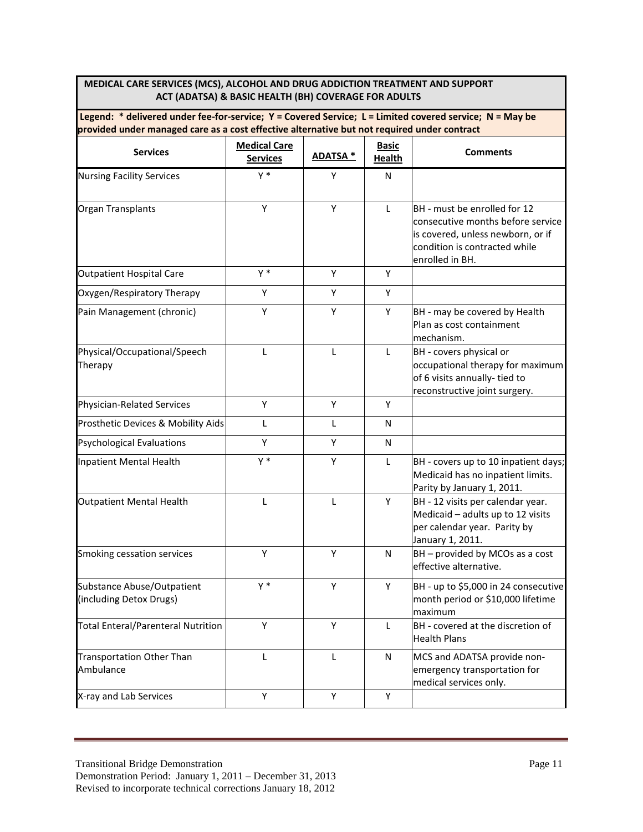#### **MEDICAL CARE SERVICES (MCS), ALCOHOL AND DRUG ADDICTION TREATMENT AND SUPPORT ACT (ADATSA) & BASIC HEALTH (BH) COVERAGE FOR ADULTS**

| Legend: $*$ delivered under fee-for-service; $Y =$ Covered Service; L = Limited covered service; N = May be |  |
|-------------------------------------------------------------------------------------------------------------|--|
| provided under managed care as a cost effective alternative but not required under contract                 |  |

| <b>Services</b>                                       | <b>Medical Care</b><br><b>Services</b> | <b>ADATSA *</b> | <b>Basic</b><br><b>Health</b> | <b>Comments</b>                                                                                                                                            |
|-------------------------------------------------------|----------------------------------------|-----------------|-------------------------------|------------------------------------------------------------------------------------------------------------------------------------------------------------|
| <b>Nursing Facility Services</b>                      | $Y^*$                                  | Y               | N                             |                                                                                                                                                            |
| Organ Transplants                                     | Y                                      | Y               | L                             | BH - must be enrolled for 12<br>consecutive months before service<br>is covered, unless newborn, or if<br>condition is contracted while<br>enrolled in BH. |
| <b>Outpatient Hospital Care</b>                       | $Y^*$                                  | Υ               | Υ                             |                                                                                                                                                            |
| Oxygen/Respiratory Therapy                            | Y                                      | Y               | Y                             |                                                                                                                                                            |
| Pain Management (chronic)                             | Y                                      | Y               | Υ                             | BH - may be covered by Health<br>Plan as cost containment<br>mechanism.                                                                                    |
| Physical/Occupational/Speech<br>Therapy               | L                                      | L               | L                             | BH - covers physical or<br>occupational therapy for maximum<br>of 6 visits annually- tied to<br>reconstructive joint surgery.                              |
| Physician-Related Services                            | Υ                                      | Υ               | Y                             |                                                                                                                                                            |
| Prosthetic Devices & Mobility Aids                    | L                                      | L               | ${\sf N}$                     |                                                                                                                                                            |
| <b>Psychological Evaluations</b>                      | Υ                                      | Υ               | N                             |                                                                                                                                                            |
| Inpatient Mental Health                               | $Y^*$                                  | Υ               | L                             | BH - covers up to 10 inpatient days;<br>Medicaid has no inpatient limits.<br>Parity by January 1, 2011.                                                    |
| <b>Outpatient Mental Health</b>                       | L                                      | L               | Y                             | BH - 12 visits per calendar year.<br>Medicaid - adults up to 12 visits<br>per calendar year. Parity by<br>January 1, 2011.                                 |
| Smoking cessation services                            | Y                                      | Y               | N                             | $BH$ – provided by MCOs as a cost<br>effective alternative.                                                                                                |
| Substance Abuse/Outpatient<br>(including Detox Drugs) | $Y^*$                                  | Y               | Y                             | BH - up to \$5,000 in 24 consecutive<br>month period or \$10,000 lifetime<br>maximum                                                                       |
| <b>Total Enteral/Parenteral Nutrition</b>             | Y                                      | Y               | L                             | BH - covered at the discretion of<br><b>Health Plans</b>                                                                                                   |
| <b>Transportation Other Than</b><br>Ambulance         | L                                      | L               | N                             | MCS and ADATSA provide non-<br>emergency transportation for<br>medical services only.                                                                      |
| X-ray and Lab Services                                | Y                                      | Y               | Υ                             |                                                                                                                                                            |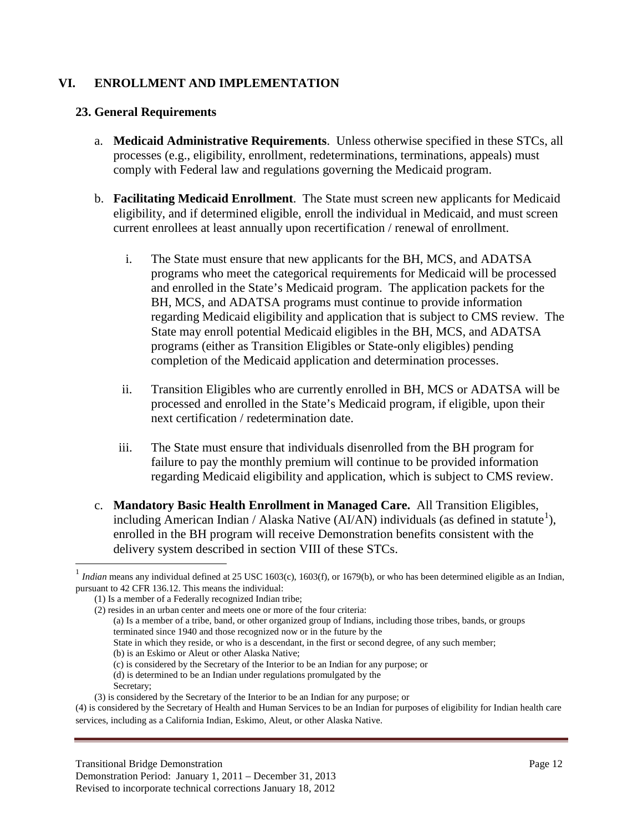## **VI. ENROLLMENT AND IMPLEMENTATION**

#### **23. General Requirements**

- a. **Medicaid Administrative Requirements**. Unless otherwise specified in these STCs, all processes (e.g., eligibility, enrollment, redeterminations, terminations, appeals) must comply with Federal law and regulations governing the Medicaid program.
- b. **Facilitating Medicaid Enrollment**. The State must screen new applicants for Medicaid eligibility, and if determined eligible, enroll the individual in Medicaid, and must screen current enrollees at least annually upon recertification / renewal of enrollment.
	- i. The State must ensure that new applicants for the BH, MCS, and ADATSA programs who meet the categorical requirements for Medicaid will be processed and enrolled in the State's Medicaid program. The application packets for the BH, MCS, and ADATSA programs must continue to provide information regarding Medicaid eligibility and application that is subject to CMS review. The State may enroll potential Medicaid eligibles in the BH, MCS, and ADATSA programs (either as Transition Eligibles or State-only eligibles) pending completion of the Medicaid application and determination processes.
	- ii. Transition Eligibles who are currently enrolled in BH, MCS or ADATSA will be processed and enrolled in the State's Medicaid program, if eligible, upon their next certification / redetermination date.
	- iii. The State must ensure that individuals disenrolled from the BH program for failure to pay the monthly premium will continue to be provided information regarding Medicaid eligibility and application, which is subject to CMS review.
- c. **Mandatory Basic Health Enrollment in Managed Care.** All Transition Eligibles, including American Indian / Alaska Native (AI/AN) individuals (as defined in statute<sup>[1](#page-16-0)</sup>), enrolled in the BH program will receive Demonstration benefits consistent with the delivery system described in section VIII of these STCs.

- State in which they reside, or who is a descendant, in the first or second degree, of any such member;
- (b) is an Eskimo or Aleut or other Alaska Native;
- (c) is considered by the Secretary of the Interior to be an Indian for any purpose; or
- (d) is determined to be an Indian under regulations promulgated by the
- Secretary;

 $\overline{a}$ 

Demonstration Period: January 1, 2011 – December 31, 2013 Revised to incorporate technical corrections January 18, 2012

<span id="page-16-0"></span>*Indian* means any individual defined at 25 USC 1603(c), 1603(f), or 1679(b), or who has been determined eligible as an Indian, pursuant to 42 CFR 136.12. This means the individual:

<sup>(1)</sup> Is a member of a Federally recognized Indian tribe;

<sup>(2)</sup> resides in an urban center and meets one or more of the four criteria:

<sup>(</sup>a) Is a member of a tribe, band, or other organized group of Indians, including those tribes, bands, or groups terminated since 1940 and those recognized now or in the future by the

<sup>(3)</sup> is considered by the Secretary of the Interior to be an Indian for any purpose; or

<sup>(4)</sup> is considered by the Secretary of Health and Human Services to be an Indian for purposes of eligibility for Indian health care services, including as a California Indian, Eskimo, Aleut, or other Alaska Native.

Transitional Bridge Demonstration Page 12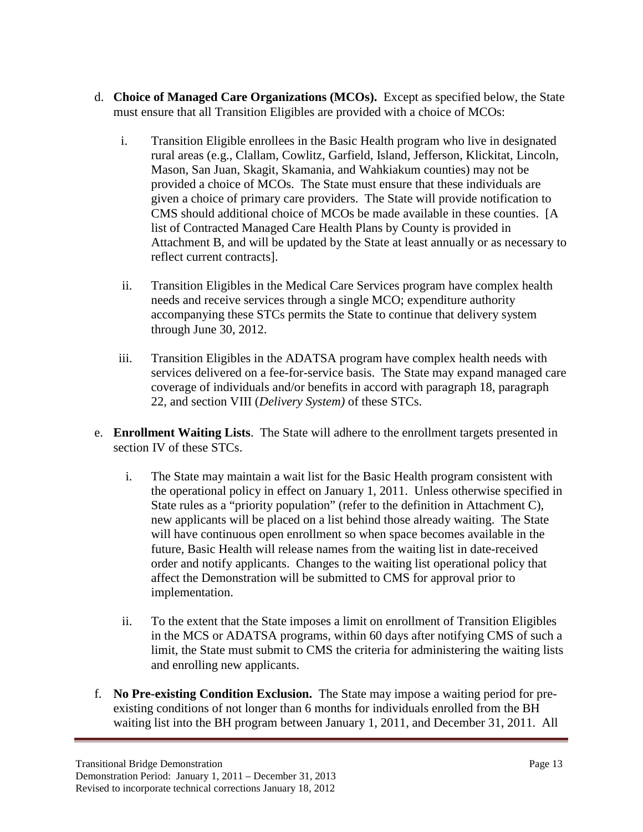- d. **Choice of Managed Care Organizations (MCOs).** Except as specified below, the State must ensure that all Transition Eligibles are provided with a choice of MCOs:
	- i. Transition Eligible enrollees in the Basic Health program who live in designated rural areas (e.g., Clallam, Cowlitz, Garfield, Island, Jefferson, Klickitat, Lincoln, Mason, San Juan, Skagit, Skamania, and Wahkiakum counties) may not be provided a choice of MCOs. The State must ensure that these individuals are given a choice of primary care providers. The State will provide notification to CMS should additional choice of MCOs be made available in these counties. [A list of Contracted Managed Care Health Plans by County is provided in Attachment B, and will be updated by the State at least annually or as necessary to reflect current contracts].
	- ii. Transition Eligibles in the Medical Care Services program have complex health needs and receive services through a single MCO; expenditure authority accompanying these STCs permits the State to continue that delivery system through June 30, 2012.
	- iii. Transition Eligibles in the ADATSA program have complex health needs with services delivered on a fee-for-service basis. The State may expand managed care coverage of individuals and/or benefits in accord with paragraph 18, paragraph 22, and section VIII (*Delivery System)* of these STCs.
- e. **Enrollment Waiting Lists**. The State will adhere to the enrollment targets presented in section IV of these STCs.
	- i. The State may maintain a wait list for the Basic Health program consistent with the operational policy in effect on January 1, 2011. Unless otherwise specified in State rules as a "priority population" (refer to the definition in Attachment C), new applicants will be placed on a list behind those already waiting. The State will have continuous open enrollment so when space becomes available in the future, Basic Health will release names from the waiting list in date-received order and notify applicants. Changes to the waiting list operational policy that affect the Demonstration will be submitted to CMS for approval prior to implementation.
	- ii. To the extent that the State imposes a limit on enrollment of Transition Eligibles in the MCS or ADATSA programs, within 60 days after notifying CMS of such a limit, the State must submit to CMS the criteria for administering the waiting lists and enrolling new applicants.
- f. **No Pre-existing Condition Exclusion.** The State may impose a waiting period for preexisting conditions of not longer than 6 months for individuals enrolled from the BH waiting list into the BH program between January 1, 2011, and December 31, 2011. All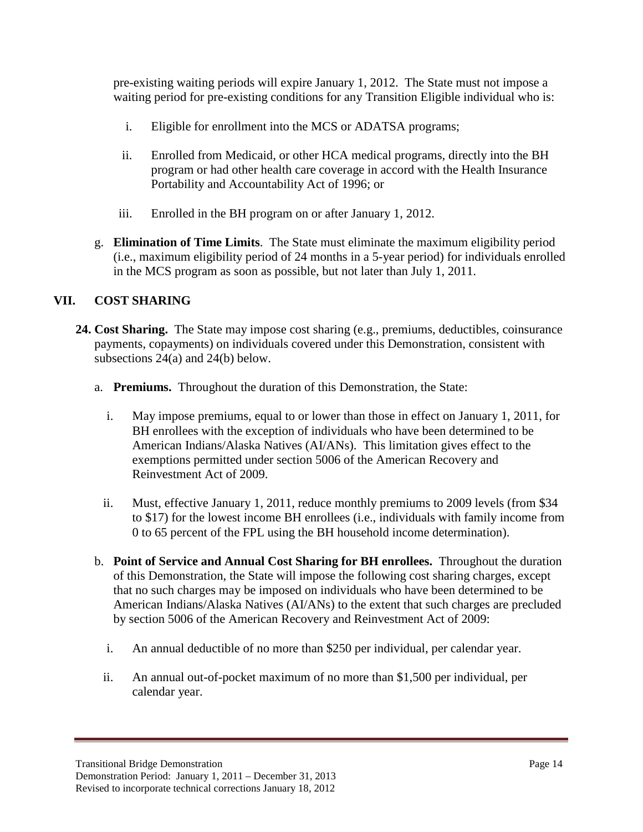pre-existing waiting periods will expire January 1, 2012. The State must not impose a waiting period for pre-existing conditions for any Transition Eligible individual who is:

- i. Eligible for enrollment into the MCS or ADATSA programs;
- ii. Enrolled from Medicaid, or other HCA medical programs, directly into the BH program or had other health care coverage in accord with the Health Insurance Portability and Accountability Act of 1996; or
- iii. Enrolled in the BH program on or after January 1, 2012.
- g. **Elimination of Time Limits**. The State must eliminate the maximum eligibility period (i.e., maximum eligibility period of 24 months in a 5-year period) for individuals enrolled in the MCS program as soon as possible, but not later than July 1, 2011.

# **VII. COST SHARING**

- **24. Cost Sharing.** The State may impose cost sharing (e.g., premiums, deductibles, coinsurance payments, copayments) on individuals covered under this Demonstration, consistent with subsections 24(a) and 24(b) below.
	- a. **Premiums.** Throughout the duration of this Demonstration, the State:
		- i. May impose premiums, equal to or lower than those in effect on January 1, 2011, for BH enrollees with the exception of individuals who have been determined to be American Indians/Alaska Natives (AI/ANs). This limitation gives effect to the exemptions permitted under section 5006 of the American Recovery and Reinvestment Act of 2009.
		- ii. Must, effective January 1, 2011, reduce monthly premiums to 2009 levels (from \$34 to \$17) for the lowest income BH enrollees (i.e., individuals with family income from 0 to 65 percent of the FPL using the BH household income determination).
	- b. **Point of Service and Annual Cost Sharing for BH enrollees.** Throughout the duration of this Demonstration, the State will impose the following cost sharing charges, except that no such charges may be imposed on individuals who have been determined to be American Indians/Alaska Natives (AI/ANs) to the extent that such charges are precluded by section 5006 of the American Recovery and Reinvestment Act of 2009:
		- i. An annual deductible of no more than \$250 per individual, per calendar year.
		- ii. An annual out-of-pocket maximum of no more than \$1,500 per individual, per calendar year.

Transitional Bridge Demonstration Page 14

Demonstration Period: January 1, 2011 – December 31, 2013 Revised to incorporate technical corrections January 18, 2012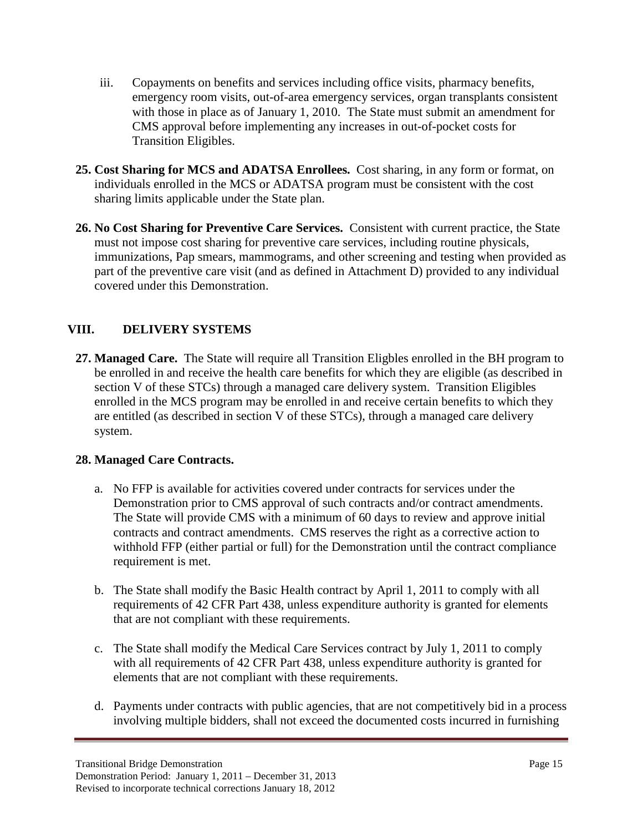- iii. Copayments on benefits and services including office visits, pharmacy benefits, emergency room visits, out-of-area emergency services, organ transplants consistent with those in place as of January 1, 2010. The State must submit an amendment for CMS approval before implementing any increases in out-of-pocket costs for Transition Eligibles.
- **25. Cost Sharing for MCS and ADATSA Enrollees.** Cost sharing, in any form or format, on individuals enrolled in the MCS or ADATSA program must be consistent with the cost sharing limits applicable under the State plan.
- **26. No Cost Sharing for Preventive Care Services.** Consistent with current practice, the State must not impose cost sharing for preventive care services, including routine physicals, immunizations, Pap smears, mammograms, and other screening and testing when provided as part of the preventive care visit (and as defined in Attachment D) provided to any individual covered under this Demonstration.

# **VIII. DELIVERY SYSTEMS**

**27. Managed Care.** The State will require all Transition Eligbles enrolled in the BH program to be enrolled in and receive the health care benefits for which they are eligible (as described in section V of these STCs) through a managed care delivery system. Transition Eligibles enrolled in the MCS program may be enrolled in and receive certain benefits to which they are entitled (as described in section V of these STCs), through a managed care delivery system.

## **28. Managed Care Contracts.**

- a. No FFP is available for activities covered under contracts for services under the Demonstration prior to CMS approval of such contracts and/or contract amendments. The State will provide CMS with a minimum of 60 days to review and approve initial contracts and contract amendments. CMS reserves the right as a corrective action to withhold FFP (either partial or full) for the Demonstration until the contract compliance requirement is met.
- b. The State shall modify the Basic Health contract by April 1, 2011 to comply with all requirements of 42 CFR Part 438, unless expenditure authority is granted for elements that are not compliant with these requirements.
- c. The State shall modify the Medical Care Services contract by July 1, 2011 to comply with all requirements of 42 CFR Part 438, unless expenditure authority is granted for elements that are not compliant with these requirements.
- d. Payments under contracts with public agencies, that are not competitively bid in a process involving multiple bidders, shall not exceed the documented costs incurred in furnishing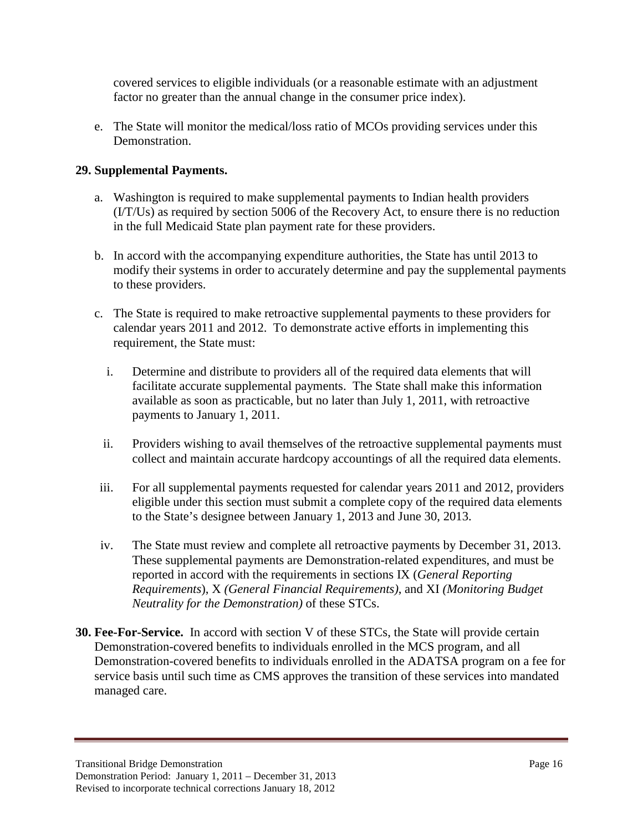covered services to eligible individuals (or a reasonable estimate with an adjustment factor no greater than the annual change in the consumer price index).

e. The State will monitor the medical/loss ratio of MCOs providing services under this Demonstration.

# **29. Supplemental Payments.**

- a. Washington is required to make supplemental payments to Indian health providers (I/T/Us) as required by section 5006 of the Recovery Act, to ensure there is no reduction in the full Medicaid State plan payment rate for these providers.
- b. In accord with the accompanying expenditure authorities, the State has until 2013 to modify their systems in order to accurately determine and pay the supplemental payments to these providers.
- c. The State is required to make retroactive supplemental payments to these providers for calendar years 2011 and 2012. To demonstrate active efforts in implementing this requirement, the State must:
	- i. Determine and distribute to providers all of the required data elements that will facilitate accurate supplemental payments. The State shall make this information available as soon as practicable, but no later than July 1, 2011, with retroactive payments to January 1, 2011.
	- ii. Providers wishing to avail themselves of the retroactive supplemental payments must collect and maintain accurate hardcopy accountings of all the required data elements.
- iii. For all supplemental payments requested for calendar years 2011 and 2012, providers eligible under this section must submit a complete copy of the required data elements to the State's designee between January 1, 2013 and June 30, 2013.
- iv. The State must review and complete all retroactive payments by December 31, 2013. These supplemental payments are Demonstration-related expenditures, and must be reported in accord with the requirements in sections IX (*General Reporting Requirements*), X *(General Financial Requirements)*, and XI *(Monitoring Budget Neutrality for the Demonstration)* of these STCs.
- **30. Fee-For-Service.** In accord with section V of these STCs, the State will provide certain Demonstration-covered benefits to individuals enrolled in the MCS program, and all Demonstration-covered benefits to individuals enrolled in the ADATSA program on a fee for service basis until such time as CMS approves the transition of these services into mandated managed care.

Transitional Bridge Demonstration Page 16 Demonstration Period: January 1, 2011 – December 31, 2013 Revised to incorporate technical corrections January 18, 2012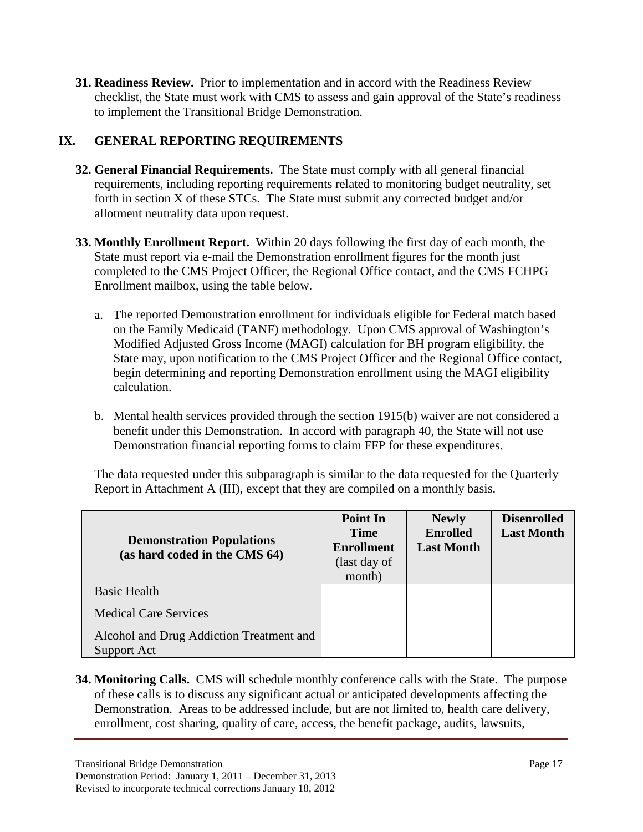**31. Readiness Review.** Prior to implementation and in accord with the Readiness Review checklist, the State must work with CMS to assess and gain approval of the State's readiness to implement the Transitional Bridge Demonstration.

# **IX. GENERAL REPORTING REQUIREMENTS**

- **32. General Financial Requirements.** The State must comply with all general financial requirements, including reporting requirements related to monitoring budget neutrality, set forth in section X of these STCs. The State must submit any corrected budget and/or allotment neutrality data upon request.
- **33. Monthly Enrollment Report.** Within 20 days following the first day of each month, the State must report via e-mail the Demonstration enrollment figures for the month just completed to the CMS Project Officer, the Regional Office contact, and the CMS FCHPG Enrollment mailbox, using the table below.
	- a. The reported Demonstration enrollment for individuals eligible for Federal match based on the Family Medicaid (TANF) methodology. Upon CMS approval of Washington's Modified Adjusted Gross Income (MAGI) calculation for BH program eligibility, the State may, upon notification to the CMS Project Officer and the Regional Office contact, begin determining and reporting Demonstration enrollment using the MAGI eligibility calculation.
	- b. Mental health services provided through the section 1915(b) waiver are not considered a benefit under this Demonstration. In accord with paragraph 40, the State will not use Demonstration financial reporting forms to claim FFP for these expenditures.

The data requested under this subparagraph is similar to the data requested for the Quarterly Report in Attachment A (III), except that they are compiled on a monthly basis.

| <b>Demonstration Populations</b><br>(as hard coded in the CMS 64) | <b>Point In</b><br><b>Time</b><br><b>Enrollment</b><br>(last day of<br>month) | <b>Newly</b><br><b>Enrolled</b><br><b>Last Month</b> | <b>Disenrolled</b><br><b>Last Month</b> |
|-------------------------------------------------------------------|-------------------------------------------------------------------------------|------------------------------------------------------|-----------------------------------------|
| <b>Basic Health</b>                                               |                                                                               |                                                      |                                         |
| <b>Medical Care Services</b>                                      |                                                                               |                                                      |                                         |
| Alcohol and Drug Addiction Treatment and<br>Support Act           |                                                                               |                                                      |                                         |

**34. Monitoring Calls.** CMS will schedule monthly conference calls with the State. The purpose of these calls is to discuss any significant actual or anticipated developments affecting the Demonstration. Areas to be addressed include, but are not limited to, health care delivery, enrollment, cost sharing, quality of care, access, the benefit package, audits, lawsuits,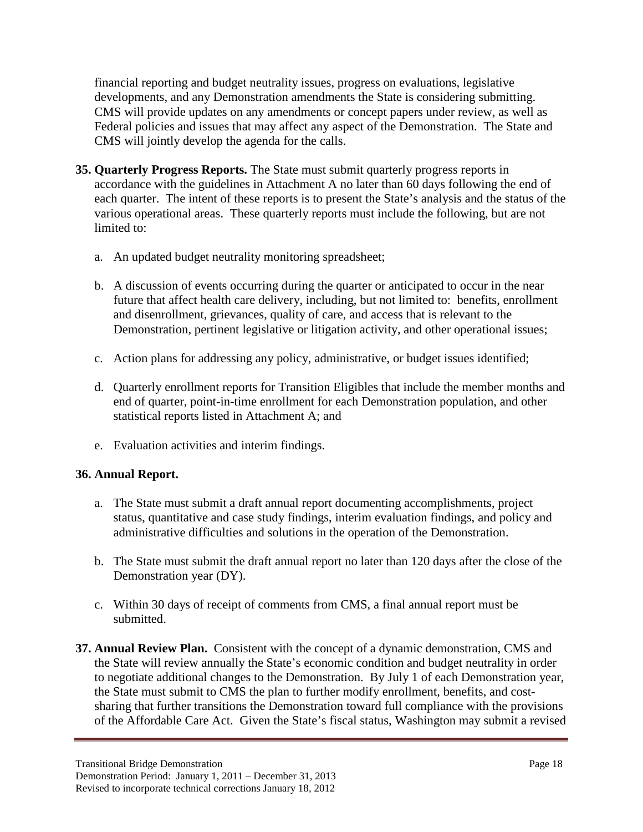financial reporting and budget neutrality issues, progress on evaluations, legislative developments, and any Demonstration amendments the State is considering submitting. CMS will provide updates on any amendments or concept papers under review, as well as Federal policies and issues that may affect any aspect of the Demonstration. The State and CMS will jointly develop the agenda for the calls.

- **35. Quarterly Progress Reports.** The State must submit quarterly progress reports in accordance with the guidelines in Attachment A no later than 60 days following the end of each quarter. The intent of these reports is to present the State's analysis and the status of the various operational areas. These quarterly reports must include the following, but are not limited to:
	- a. An updated budget neutrality monitoring spreadsheet;
	- b. A discussion of events occurring during the quarter or anticipated to occur in the near future that affect health care delivery, including, but not limited to: benefits, enrollment and disenrollment, grievances, quality of care, and access that is relevant to the Demonstration, pertinent legislative or litigation activity, and other operational issues;
	- c. Action plans for addressing any policy, administrative, or budget issues identified;
	- d. Quarterly enrollment reports for Transition Eligibles that include the member months and end of quarter, point-in-time enrollment for each Demonstration population, and other statistical reports listed in Attachment A; and
	- e. Evaluation activities and interim findings.

# **36. Annual Report.**

- a. The State must submit a draft annual report documenting accomplishments, project status, quantitative and case study findings, interim evaluation findings, and policy and administrative difficulties and solutions in the operation of the Demonstration.
- b. The State must submit the draft annual report no later than 120 days after the close of the Demonstration year (DY).
- c. Within 30 days of receipt of comments from CMS, a final annual report must be submitted.
- **37. Annual Review Plan.** Consistent with the concept of a dynamic demonstration, CMS and the State will review annually the State's economic condition and budget neutrality in order to negotiate additional changes to the Demonstration. By July 1 of each Demonstration year, the State must submit to CMS the plan to further modify enrollment, benefits, and costsharing that further transitions the Demonstration toward full compliance with the provisions of the Affordable Care Act. Given the State's fiscal status, Washington may submit a revised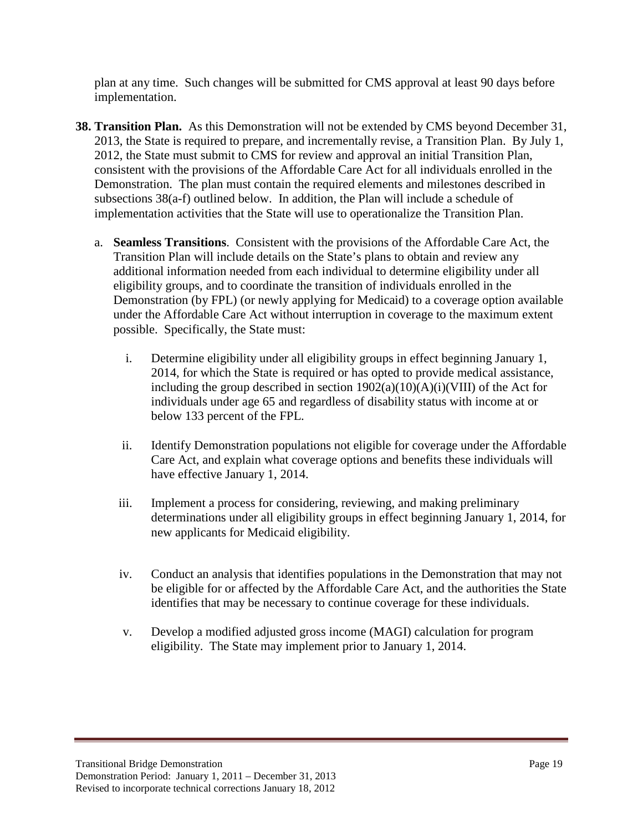plan at any time. Such changes will be submitted for CMS approval at least 90 days before implementation.

- **38. Transition Plan.** As this Demonstration will not be extended by CMS beyond December 31, 2013, the State is required to prepare, and incrementally revise, a Transition Plan. By July 1, 2012, the State must submit to CMS for review and approval an initial Transition Plan, consistent with the provisions of the Affordable Care Act for all individuals enrolled in the Demonstration. The plan must contain the required elements and milestones described in subsections 38(a-f) outlined below. In addition, the Plan will include a schedule of implementation activities that the State will use to operationalize the Transition Plan.
	- a. **Seamless Transitions**. Consistent with the provisions of the Affordable Care Act, the Transition Plan will include details on the State's plans to obtain and review any additional information needed from each individual to determine eligibility under all eligibility groups, and to coordinate the transition of individuals enrolled in the Demonstration (by FPL) (or newly applying for Medicaid) to a coverage option available under the Affordable Care Act without interruption in coverage to the maximum extent possible. Specifically, the State must:
		- i. Determine eligibility under all eligibility groups in effect beginning January 1, 2014, for which the State is required or has opted to provide medical assistance, including the group described in section  $1902(a)(10)(A)(i)(VIII)$  of the Act for individuals under age 65 and regardless of disability status with income at or below 133 percent of the FPL.
		- ii. Identify Demonstration populations not eligible for coverage under the Affordable Care Act, and explain what coverage options and benefits these individuals will have effective January 1, 2014.
		- iii. Implement a process for considering, reviewing, and making preliminary determinations under all eligibility groups in effect beginning January 1, 2014, for new applicants for Medicaid eligibility.
		- iv. Conduct an analysis that identifies populations in the Demonstration that may not be eligible for or affected by the Affordable Care Act, and the authorities the State identifies that may be necessary to continue coverage for these individuals.
		- v. Develop a modified adjusted gross income (MAGI) calculation for program eligibility. The State may implement prior to January 1, 2014.

Transitional Bridge Demonstration Page 19 Demonstration Period: January 1, 2011 – December 31, 2013 Revised to incorporate technical corrections January 18, 2012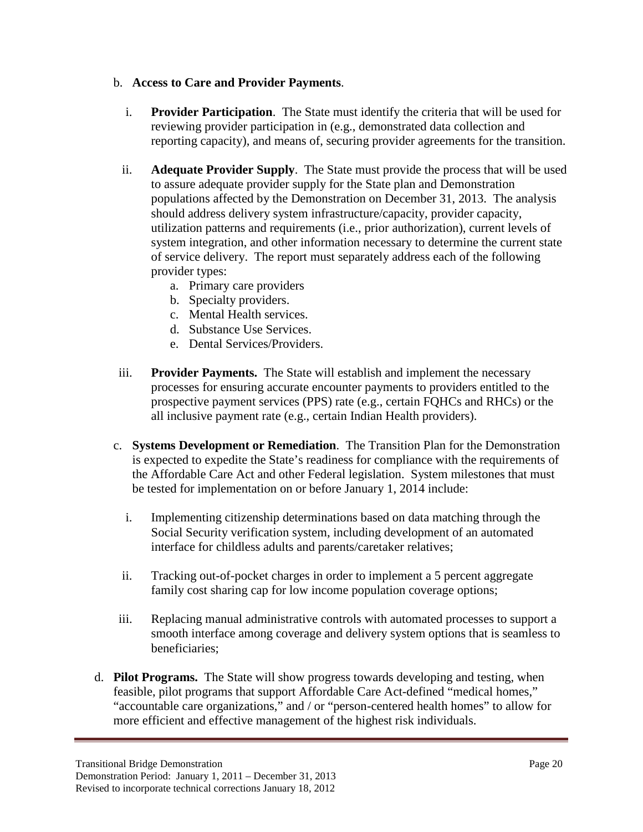### b. **Access to Care and Provider Payments**.

- i. **Provider Participation**. The State must identify the criteria that will be used for reviewing provider participation in (e.g., demonstrated data collection and reporting capacity), and means of, securing provider agreements for the transition.
- ii. **Adequate Provider Supply**. The State must provide the process that will be used to assure adequate provider supply for the State plan and Demonstration populations affected by the Demonstration on December 31, 2013. The analysis should address delivery system infrastructure/capacity, provider capacity, utilization patterns and requirements (i.e., prior authorization), current levels of system integration, and other information necessary to determine the current state of service delivery. The report must separately address each of the following provider types:
	- a. Primary care providers
	- b. Specialty providers.
	- c. Mental Health services.
	- d. Substance Use Services.
	- e. Dental Services/Providers.
- iii. **Provider Payments.** The State will establish and implement the necessary processes for ensuring accurate encounter payments to providers entitled to the prospective payment services (PPS) rate (e.g., certain FQHCs and RHCs) or the all inclusive payment rate (e.g., certain Indian Health providers).
- c. **Systems Development or Remediation**. The Transition Plan for the Demonstration is expected to expedite the State's readiness for compliance with the requirements of the Affordable Care Act and other Federal legislation. System milestones that must be tested for implementation on or before January 1, 2014 include:
	- i. Implementing citizenship determinations based on data matching through the Social Security verification system, including development of an automated interface for childless adults and parents/caretaker relatives;
	- ii. Tracking out-of-pocket charges in order to implement a 5 percent aggregate family cost sharing cap for low income population coverage options;
- iii. Replacing manual administrative controls with automated processes to support a smooth interface among coverage and delivery system options that is seamless to beneficiaries;
- d. **Pilot Programs.** The State will show progress towards developing and testing, when feasible, pilot programs that support Affordable Care Act-defined "medical homes," "accountable care organizations," and / or "person-centered health homes" to allow for more efficient and effective management of the highest risk individuals.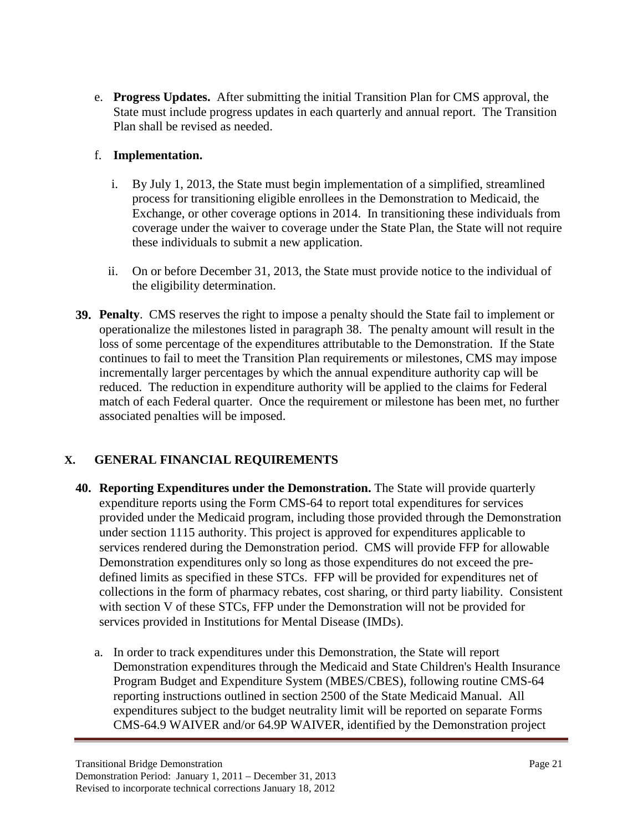e. **Progress Updates.** After submitting the initial Transition Plan for CMS approval, the State must include progress updates in each quarterly and annual report. The Transition Plan shall be revised as needed.

## f. **Implementation.**

- i. By July 1, 2013, the State must begin implementation of a simplified, streamlined process for transitioning eligible enrollees in the Demonstration to Medicaid, the Exchange, or other coverage options in 2014. In transitioning these individuals from coverage under the waiver to coverage under the State Plan, the State will not require these individuals to submit a new application.
- ii. On or before December 31, 2013, the State must provide notice to the individual of the eligibility determination.
- **39. Penalty**. CMS reserves the right to impose a penalty should the State fail to implement or operationalize the milestones listed in paragraph 38. The penalty amount will result in the loss of some percentage of the expenditures attributable to the Demonstration. If the State continues to fail to meet the Transition Plan requirements or milestones, CMS may impose incrementally larger percentages by which the annual expenditure authority cap will be reduced. The reduction in expenditure authority will be applied to the claims for Federal match of each Federal quarter. Once the requirement or milestone has been met, no further associated penalties will be imposed.

# **X. GENERAL FINANCIAL REQUIREMENTS**

- **40. Reporting Expenditures under the Demonstration.** The State will provide quarterly expenditure reports using the Form CMS-64 to report total expenditures for services provided under the Medicaid program, including those provided through the Demonstration under section 1115 authority. This project is approved for expenditures applicable to services rendered during the Demonstration period. CMS will provide FFP for allowable Demonstration expenditures only so long as those expenditures do not exceed the predefined limits as specified in these STCs. FFP will be provided for expenditures net of collections in the form of pharmacy rebates, cost sharing, or third party liability. Consistent with section V of these STCs, FFP under the Demonstration will not be provided for services provided in Institutions for Mental Disease (IMDs).
	- a. In order to track expenditures under this Demonstration, the State will report Demonstration expenditures through the Medicaid and State Children's Health Insurance Program Budget and Expenditure System (MBES/CBES), following routine CMS-64 reporting instructions outlined in section 2500 of the State Medicaid Manual. All expenditures subject to the budget neutrality limit will be reported on separate Forms CMS-64.9 WAIVER and/or 64.9P WAIVER, identified by the Demonstration project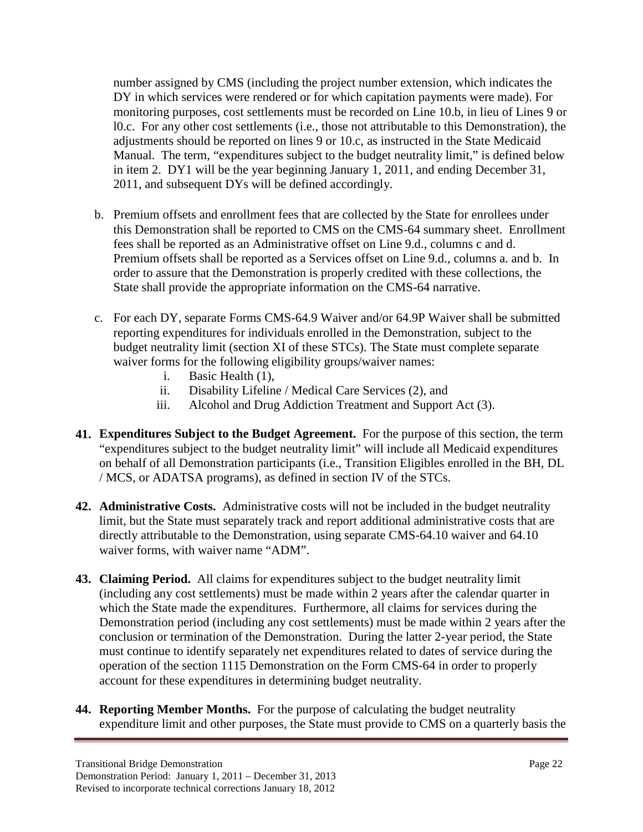number assigned by CMS (including the project number extension, which indicates the DY in which services were rendered or for which capitation payments were made). For monitoring purposes, cost settlements must be recorded on Line 10.b, in lieu of Lines 9 or l0.c. For any other cost settlements (i.e., those not attributable to this Demonstration), the adjustments should be reported on lines 9 or 10.c, as instructed in the State Medicaid Manual. The term, "expenditures subject to the budget neutrality limit," is defined below in item 2. DY1 will be the year beginning January 1, 2011, and ending December 31, 2011, and subsequent DYs will be defined accordingly.

- b. Premium offsets and enrollment fees that are collected by the State for enrollees under this Demonstration shall be reported to CMS on the CMS-64 summary sheet. Enrollment fees shall be reported as an Administrative offset on Line 9.d., columns c and d. Premium offsets shall be reported as a Services offset on Line 9.d., columns a. and b. In order to assure that the Demonstration is properly credited with these collections, the State shall provide the appropriate information on the CMS-64 narrative.
- c. For each DY, separate Forms CMS-64.9 Waiver and/or 64.9P Waiver shall be submitted reporting expenditures for individuals enrolled in the Demonstration, subject to the budget neutrality limit (section XI of these STCs). The State must complete separate waiver forms for the following eligibility groups/waiver names:
	- i. Basic Health (1),
	- ii. Disability Lifeline / Medical Care Services (2), and
	- iii. Alcohol and Drug Addiction Treatment and Support Act (3).
- **41. Expenditures Subject to the Budget Agreement.** For the purpose of this section, the term "expenditures subject to the budget neutrality limit" will include all Medicaid expenditures on behalf of all Demonstration participants (i.e., Transition Eligibles enrolled in the BH, DL / MCS, or ADATSA programs), as defined in section IV of the STCs.
- **42. Administrative Costs.** Administrative costs will not be included in the budget neutrality limit, but the State must separately track and report additional administrative costs that are directly attributable to the Demonstration, using separate CMS-64.10 waiver and 64.10 waiver forms, with waiver name "ADM".
- **43. Claiming Period.** All claims for expenditures subject to the budget neutrality limit (including any cost settlements) must be made within 2 years after the calendar quarter in which the State made the expenditures. Furthermore, all claims for services during the Demonstration period (including any cost settlements) must be made within 2 years after the conclusion or termination of the Demonstration. During the latter 2-year period, the State must continue to identify separately net expenditures related to dates of service during the operation of the section 1115 Demonstration on the Form CMS-64 in order to properly account for these expenditures in determining budget neutrality.
- **44. Reporting Member Months.** For the purpose of calculating the budget neutrality expenditure limit and other purposes, the State must provide to CMS on a quarterly basis the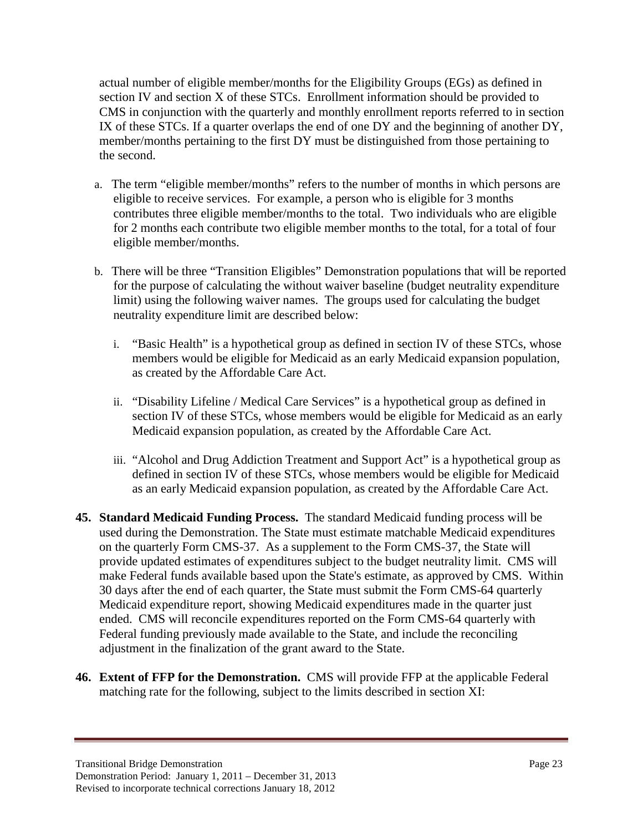actual number of eligible member/months for the Eligibility Groups (EGs) as defined in section IV and section X of these STCs. Enrollment information should be provided to CMS in conjunction with the quarterly and monthly enrollment reports referred to in section IX of these STCs. If a quarter overlaps the end of one DY and the beginning of another DY, member/months pertaining to the first DY must be distinguished from those pertaining to the second.

- a. The term "eligible member/months" refers to the number of months in which persons are eligible to receive services. For example, a person who is eligible for 3 months contributes three eligible member/months to the total. Two individuals who are eligible for 2 months each contribute two eligible member months to the total, for a total of four eligible member/months.
- b. There will be three "Transition Eligibles" Demonstration populations that will be reported for the purpose of calculating the without waiver baseline (budget neutrality expenditure limit) using the following waiver names. The groups used for calculating the budget neutrality expenditure limit are described below:
	- i. "Basic Health" is a hypothetical group as defined in section IV of these STCs, whose members would be eligible for Medicaid as an early Medicaid expansion population, as created by the Affordable Care Act.
	- ii. "Disability Lifeline / Medical Care Services" is a hypothetical group as defined in section IV of these STCs, whose members would be eligible for Medicaid as an early Medicaid expansion population, as created by the Affordable Care Act.
	- iii. "Alcohol and Drug Addiction Treatment and Support Act" is a hypothetical group as defined in section IV of these STCs, whose members would be eligible for Medicaid as an early Medicaid expansion population, as created by the Affordable Care Act.
- **45. Standard Medicaid Funding Process.** The standard Medicaid funding process will be used during the Demonstration. The State must estimate matchable Medicaid expenditures on the quarterly Form CMS-37. As a supplement to the Form CMS-37, the State will provide updated estimates of expenditures subject to the budget neutrality limit. CMS will make Federal funds available based upon the State's estimate, as approved by CMS. Within 30 days after the end of each quarter, the State must submit the Form CMS-64 quarterly Medicaid expenditure report, showing Medicaid expenditures made in the quarter just ended. CMS will reconcile expenditures reported on the Form CMS-64 quarterly with Federal funding previously made available to the State, and include the reconciling adjustment in the finalization of the grant award to the State.
- **46. Extent of FFP for the Demonstration.** CMS will provide FFP at the applicable Federal matching rate for the following, subject to the limits described in section XI: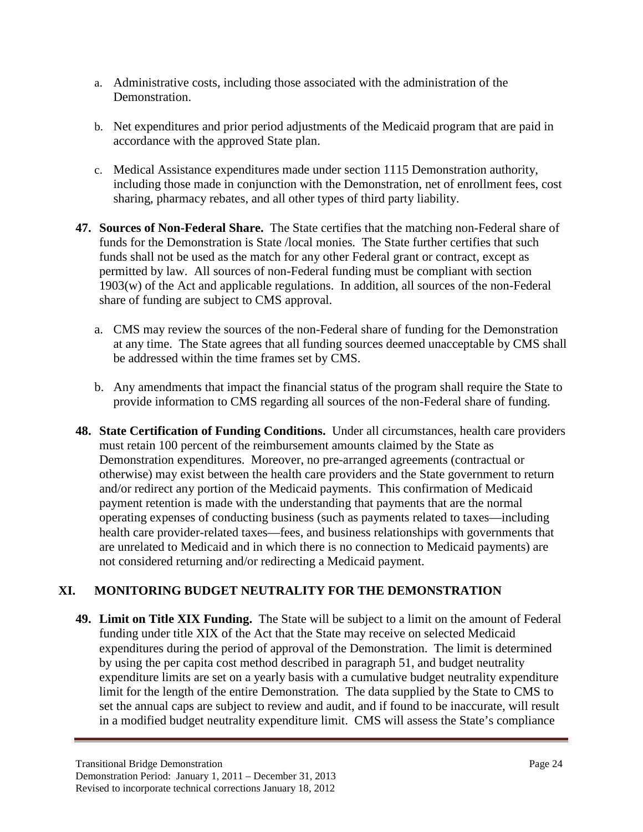- a. Administrative costs, including those associated with the administration of the Demonstration.
- b. Net expenditures and prior period adjustments of the Medicaid program that are paid in accordance with the approved State plan.
- c. Medical Assistance expenditures made under section 1115 Demonstration authority, including those made in conjunction with the Demonstration, net of enrollment fees, cost sharing, pharmacy rebates, and all other types of third party liability.
- **47. Sources of Non-Federal Share.** The State certifies that the matching non-Federal share of funds for the Demonstration is State /local monies. The State further certifies that such funds shall not be used as the match for any other Federal grant or contract, except as permitted by law. All sources of non-Federal funding must be compliant with section 1903(w) of the Act and applicable regulations. In addition, all sources of the non-Federal share of funding are subject to CMS approval.
	- a. CMS may review the sources of the non-Federal share of funding for the Demonstration at any time. The State agrees that all funding sources deemed unacceptable by CMS shall be addressed within the time frames set by CMS.
	- b. Any amendments that impact the financial status of the program shall require the State to provide information to CMS regarding all sources of the non-Federal share of funding.
- **48. State Certification of Funding Conditions.** Under all circumstances, health care providers must retain 100 percent of the reimbursement amounts claimed by the State as Demonstration expenditures. Moreover, no pre-arranged agreements (contractual or otherwise) may exist between the health care providers and the State government to return and/or redirect any portion of the Medicaid payments. This confirmation of Medicaid payment retention is made with the understanding that payments that are the normal operating expenses of conducting business (such as payments related to taxes—including health care provider-related taxes—fees, and business relationships with governments that are unrelated to Medicaid and in which there is no connection to Medicaid payments) are not considered returning and/or redirecting a Medicaid payment.

# **XI. MONITORING BUDGET NEUTRALITY FOR THE DEMONSTRATION**

**49. Limit on Title XIX Funding.** The State will be subject to a limit on the amount of Federal funding under title XIX of the Act that the State may receive on selected Medicaid expenditures during the period of approval of the Demonstration. The limit is determined by using the per capita cost method described in paragraph 51, and budget neutrality expenditure limits are set on a yearly basis with a cumulative budget neutrality expenditure limit for the length of the entire Demonstration*.* The data supplied by the State to CMS to set the annual caps are subject to review and audit, and if found to be inaccurate, will result in a modified budget neutrality expenditure limit. CMS will assess the State's compliance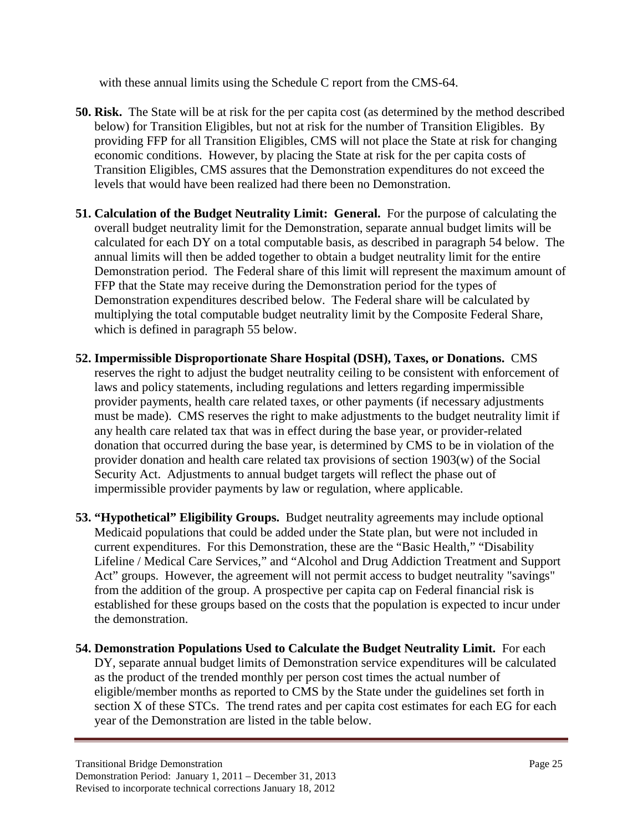with these annual limits using the Schedule C report from the CMS-64.

- **50. Risk.** The State will be at risk for the per capita cost (as determined by the method described below) for Transition Eligibles, but not at risk for the number of Transition Eligibles. By providing FFP for all Transition Eligibles, CMS will not place the State at risk for changing economic conditions. However, by placing the State at risk for the per capita costs of Transition Eligibles, CMS assures that the Demonstration expenditures do not exceed the levels that would have been realized had there been no Demonstration.
- **51. Calculation of the Budget Neutrality Limit: General.** For the purpose of calculating the overall budget neutrality limit for the Demonstration, separate annual budget limits will be calculated for each DY on a total computable basis, as described in paragraph 54 below. The annual limits will then be added together to obtain a budget neutrality limit for the entire Demonstration period. The Federal share of this limit will represent the maximum amount of FFP that the State may receive during the Demonstration period for the types of Demonstration expenditures described below. The Federal share will be calculated by multiplying the total computable budget neutrality limit by the Composite Federal Share, which is defined in paragraph 55 below.
- **52. Impermissible Disproportionate Share Hospital (DSH), Taxes, or Donations.** CMS reserves the right to adjust the budget neutrality ceiling to be consistent with enforcement of laws and policy statements, including regulations and letters regarding impermissible provider payments, health care related taxes, or other payments (if necessary adjustments must be made). CMS reserves the right to make adjustments to the budget neutrality limit if any health care related tax that was in effect during the base year, or provider-related donation that occurred during the base year, is determined by CMS to be in violation of the provider donation and health care related tax provisions of section 1903(w) of the Social Security Act. Adjustments to annual budget targets will reflect the phase out of impermissible provider payments by law or regulation, where applicable.
- **53. "Hypothetical" Eligibility Groups.** Budget neutrality agreements may include optional Medicaid populations that could be added under the State plan, but were not included in current expenditures. For this Demonstration, these are the "Basic Health," "Disability Lifeline / Medical Care Services," and "Alcohol and Drug Addiction Treatment and Support Act" groups. However, the agreement will not permit access to budget neutrality "savings" from the addition of the group. A prospective per capita cap on Federal financial risk is established for these groups based on the costs that the population is expected to incur under the demonstration.
- **54. Demonstration Populations Used to Calculate the Budget Neutrality Limit.** For each DY, separate annual budget limits of Demonstration service expenditures will be calculated as the product of the trended monthly per person cost times the actual number of eligible/member months as reported to CMS by the State under the guidelines set forth in section X of these STCs. The trend rates and per capita cost estimates for each EG for each year of the Demonstration are listed in the table below.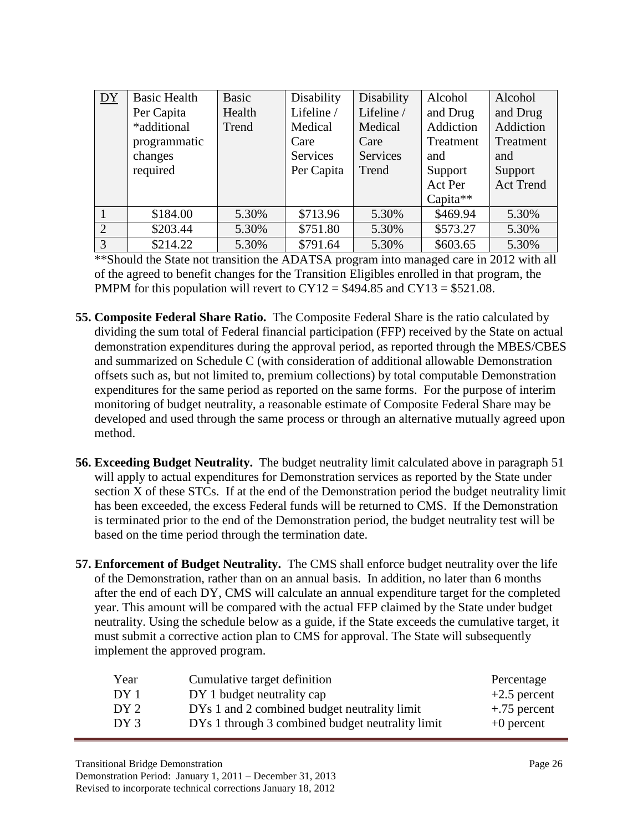| DY             | <b>Basic Health</b><br>Per Capita<br>*additional<br>programmatic<br>changes<br>required | Basic<br>Health<br>Trend | Disability<br>Lifeline /<br>Medical<br>Care<br><b>Services</b><br>Per Capita | Disability<br>Lifeline /<br>Medical<br>Care<br>Services<br>Trend | Alcohol<br>and Drug<br>Addiction<br>Treatment<br>and<br>Support<br>Act Per<br>Capita** | Alcohol<br>and Drug<br>Addiction<br>Treatment<br>and<br>Support<br><b>Act Trend</b> |
|----------------|-----------------------------------------------------------------------------------------|--------------------------|------------------------------------------------------------------------------|------------------------------------------------------------------|----------------------------------------------------------------------------------------|-------------------------------------------------------------------------------------|
|                |                                                                                         |                          |                                                                              |                                                                  |                                                                                        |                                                                                     |
|                | \$184.00                                                                                | 5.30%                    | \$713.96                                                                     | 5.30%                                                            | \$469.94                                                                               | 5.30%                                                                               |
| 2              | \$203.44                                                                                | 5.30%                    | \$751.80                                                                     | 5.30%                                                            | \$573.27                                                                               | 5.30%                                                                               |
| $\overline{3}$ | \$214.22                                                                                | 5.30%                    | \$791.64                                                                     | 5.30%                                                            | \$603.65                                                                               | 5.30%                                                                               |

\*\*Should the State not transition the ADATSA program into managed care in 2012 with all of the agreed to benefit changes for the Transition Eligibles enrolled in that program, the PMPM for this population will revert to  $CY12 = $494.85$  and  $CY13 = $521.08$ .

- **55. Composite Federal Share Ratio.** The Composite Federal Share is the ratio calculated by dividing the sum total of Federal financial participation (FFP) received by the State on actual demonstration expenditures during the approval period, as reported through the MBES/CBES and summarized on Schedule C (with consideration of additional allowable Demonstration offsets such as, but not limited to, premium collections) by total computable Demonstration expenditures for the same period as reported on the same forms. For the purpose of interim monitoring of budget neutrality, a reasonable estimate of Composite Federal Share may be developed and used through the same process or through an alternative mutually agreed upon method.
- **56. Exceeding Budget Neutrality.** The budget neutrality limit calculated above in paragraph 51 will apply to actual expenditures for Demonstration services as reported by the State under section X of these STCs. If at the end of the Demonstration period the budget neutrality limit has been exceeded, the excess Federal funds will be returned to CMS. If the Demonstration is terminated prior to the end of the Demonstration period, the budget neutrality test will be based on the time period through the termination date.
- **57. Enforcement of Budget Neutrality.** The CMS shall enforce budget neutrality over the life of the Demonstration, rather than on an annual basis. In addition, no later than 6 months after the end of each DY, CMS will calculate an annual expenditure target for the completed year. This amount will be compared with the actual FFP claimed by the State under budget neutrality. Using the schedule below as a guide, if the State exceeds the cumulative target, it must submit a corrective action plan to CMS for approval. The State will subsequently implement the approved program.

| Year            | Cumulative target definition                     | Percentage     |
|-----------------|--------------------------------------------------|----------------|
| DY 1            | DY 1 budget neutrality cap                       | $+2.5$ percent |
| DY <sub>2</sub> | DYs 1 and 2 combined budget neutrality limit     | $+.75$ percent |
| DY 3            | DYs 1 through 3 combined budget neutrality limit | $+0$ percent   |
|                 |                                                  |                |

Demonstration Period: January 1, 2011 – December 31, 2013 Revised to incorporate technical corrections January 18, 2012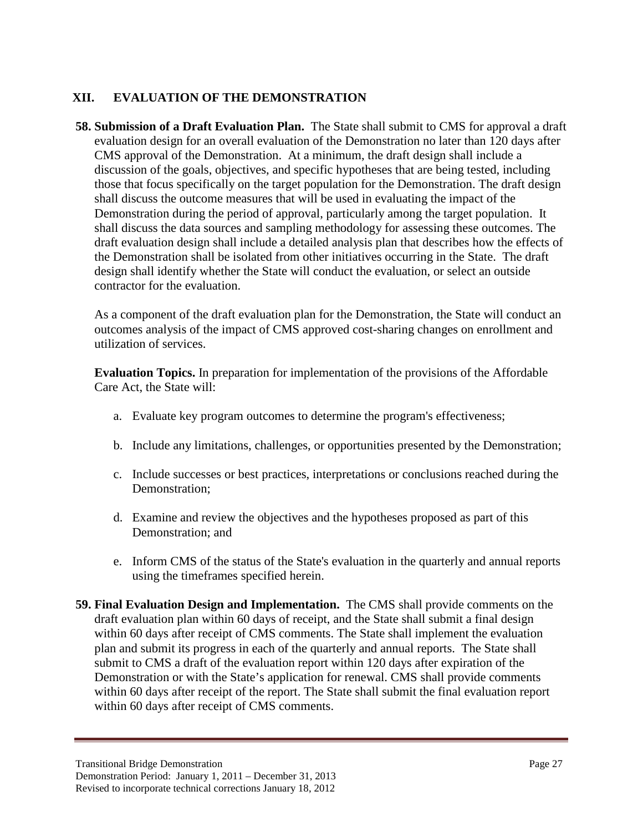## **XII. EVALUATION OF THE DEMONSTRATION**

**58. Submission of a Draft Evaluation Plan.** The State shall submit to CMS for approval a draft evaluation design for an overall evaluation of the Demonstration no later than 120 days after CMS approval of the Demonstration. At a minimum, the draft design shall include a discussion of the goals, objectives, and specific hypotheses that are being tested, including those that focus specifically on the target population for the Demonstration. The draft design shall discuss the outcome measures that will be used in evaluating the impact of the Demonstration during the period of approval, particularly among the target population. It shall discuss the data sources and sampling methodology for assessing these outcomes. The draft evaluation design shall include a detailed analysis plan that describes how the effects of the Demonstration shall be isolated from other initiatives occurring in the State. The draft design shall identify whether the State will conduct the evaluation, or select an outside contractor for the evaluation.

As a component of the draft evaluation plan for the Demonstration, the State will conduct an outcomes analysis of the impact of CMS approved cost-sharing changes on enrollment and utilization of services.

**Evaluation Topics.** In preparation for implementation of the provisions of the Affordable Care Act, the State will:

- a. Evaluate key program outcomes to determine the program's effectiveness;
- b. Include any limitations, challenges, or opportunities presented by the Demonstration;
- c. Include successes or best practices, interpretations or conclusions reached during the Demonstration;
- d. Examine and review the objectives and the hypotheses proposed as part of this Demonstration; and
- e. Inform CMS of the status of the State's evaluation in the quarterly and annual reports using the timeframes specified herein.
- **59. Final Evaluation Design and Implementation.** The CMS shall provide comments on the draft evaluation plan within 60 days of receipt, and the State shall submit a final design within 60 days after receipt of CMS comments. The State shall implement the evaluation plan and submit its progress in each of the quarterly and annual reports. The State shall submit to CMS a draft of the evaluation report within 120 days after expiration of the Demonstration or with the State's application for renewal. CMS shall provide comments within 60 days after receipt of the report. The State shall submit the final evaluation report within 60 days after receipt of CMS comments.

Transitional Bridge Demonstration Page 27 Demonstration Period: January 1, 2011 – December 31, 2013 Revised to incorporate technical corrections January 18, 2012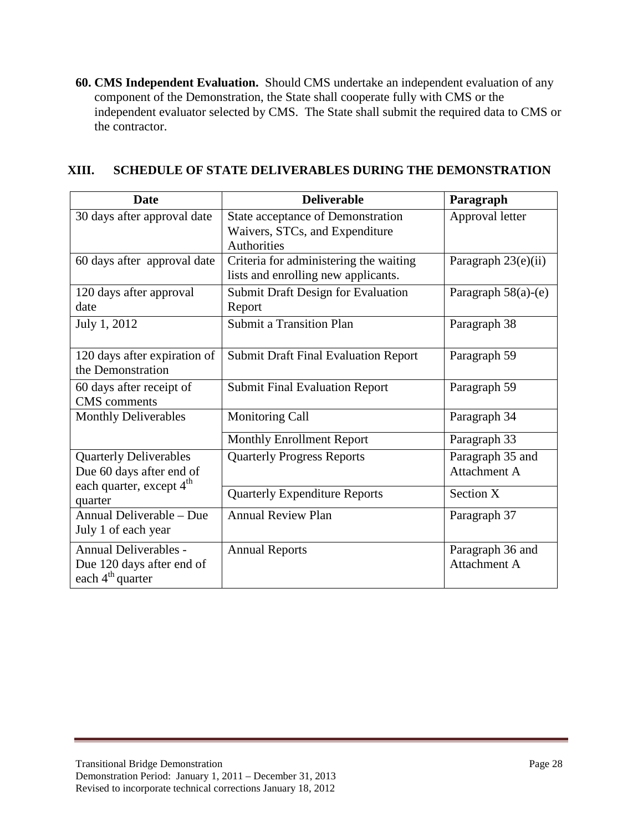**60. CMS Independent Evaluation.** Should CMS undertake an independent evaluation of any component of the Demonstration, the State shall cooperate fully with CMS or the independent evaluator selected by CMS. The State shall submit the required data to CMS or the contractor.

| <b>Date</b>                                                                                       | <b>Deliverable</b>                                                                        | Paragraph                               |
|---------------------------------------------------------------------------------------------------|-------------------------------------------------------------------------------------------|-----------------------------------------|
| 30 days after approval date                                                                       | State acceptance of Demonstration<br>Waivers, STCs, and Expenditure<br><b>Authorities</b> | Approval letter                         |
| 60 days after approval date                                                                       | Criteria for administering the waiting<br>lists and enrolling new applicants.             | Paragraph 23(e)(ii)                     |
| 120 days after approval<br>date                                                                   | <b>Submit Draft Design for Evaluation</b><br>Report                                       | Paragraph 58(a)-(e)                     |
| July 1, 2012                                                                                      | <b>Submit a Transition Plan</b>                                                           | Paragraph 38                            |
| 120 days after expiration of<br>the Demonstration                                                 | <b>Submit Draft Final Evaluation Report</b>                                               | Paragraph 59                            |
| 60 days after receipt of<br><b>CMS</b> comments                                                   | <b>Submit Final Evaluation Report</b>                                                     | Paragraph 59                            |
| <b>Monthly Deliverables</b>                                                                       | <b>Monitoring Call</b>                                                                    | Paragraph 34                            |
|                                                                                                   | <b>Monthly Enrollment Report</b>                                                          | Paragraph 33                            |
| <b>Quarterly Deliverables</b><br>Due 60 days after end of<br>each quarter, except 4 <sup>th</sup> | <b>Quarterly Progress Reports</b>                                                         | Paragraph 35 and<br>Attachment A        |
| quarter                                                                                           | <b>Quarterly Expenditure Reports</b>                                                      | Section X                               |
| Annual Deliverable – Due<br>July 1 of each year                                                   | <b>Annual Review Plan</b>                                                                 | Paragraph 37                            |
| Annual Deliverables -<br>Due 120 days after end of<br>each 4 <sup>th</sup> quarter                | <b>Annual Reports</b>                                                                     | Paragraph 36 and<br><b>Attachment A</b> |

# **XIII. SCHEDULE OF STATE DELIVERABLES DURING THE DEMONSTRATION**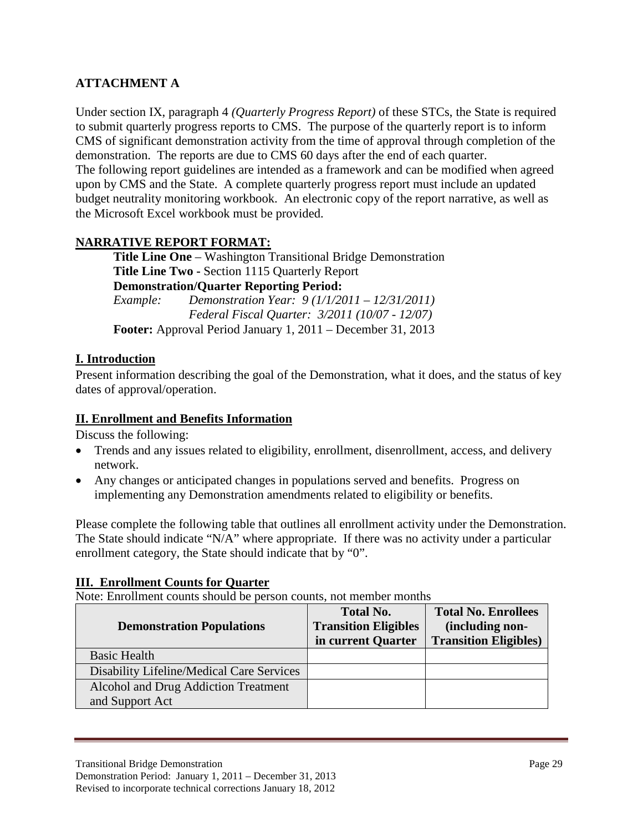# **ATTACHMENT A**

Under section IX, paragraph 4 *(Quarterly Progress Report)* of these STCs, the State is required to submit quarterly progress reports to CMS. The purpose of the quarterly report is to inform CMS of significant demonstration activity from the time of approval through completion of the demonstration. The reports are due to CMS 60 days after the end of each quarter. The following report guidelines are intended as a framework and can be modified when agreed upon by CMS and the State. A complete quarterly progress report must include an updated budget neutrality monitoring workbook. An electronic copy of the report narrative, as well as the Microsoft Excel workbook must be provided.

## **NARRATIVE REPORT FORMAT:**

**Title Line One** – Washington Transitional Bridge Demonstration **Title Line Two -** Section 1115 Quarterly Report **Demonstration/Quarter Reporting Period:**  *Example: Demonstration Year: 9 (1/1/2011 – 12/31/2011) Federal Fiscal Quarter: 3/2011 (10/07 - 12/07)*  **Footer:** Approval Period January 1, 2011 – December 31, 2013

### **I. Introduction**

Present information describing the goal of the Demonstration, what it does, and the status of key dates of approval/operation.

#### **II. Enrollment and Benefits Information**

Discuss the following:

- Trends and any issues related to eligibility, enrollment, disenrollment, access, and delivery network.
- Any changes or anticipated changes in populations served and benefits. Progress on implementing any Demonstration amendments related to eligibility or benefits.

Please complete the following table that outlines all enrollment activity under the Demonstration. The State should indicate "N/A" where appropriate. If there was no activity under a particular enrollment category, the State should indicate that by "0".

#### **III. Enrollment Counts for Quarter**

Note: Enrollment counts should be person counts, not member months

|                                           | <b>Total No.</b>            | <b>Total No. Enrollees</b>    |
|-------------------------------------------|-----------------------------|-------------------------------|
| <b>Demonstration Populations</b>          | <b>Transition Eligibles</b> | (including non-               |
|                                           | in current Quarter          | <b>Transition Eligibles</b> ) |
| <b>Basic Health</b>                       |                             |                               |
| Disability Lifeline/Medical Care Services |                             |                               |
| Alcohol and Drug Addiction Treatment      |                             |                               |
| and Support Act                           |                             |                               |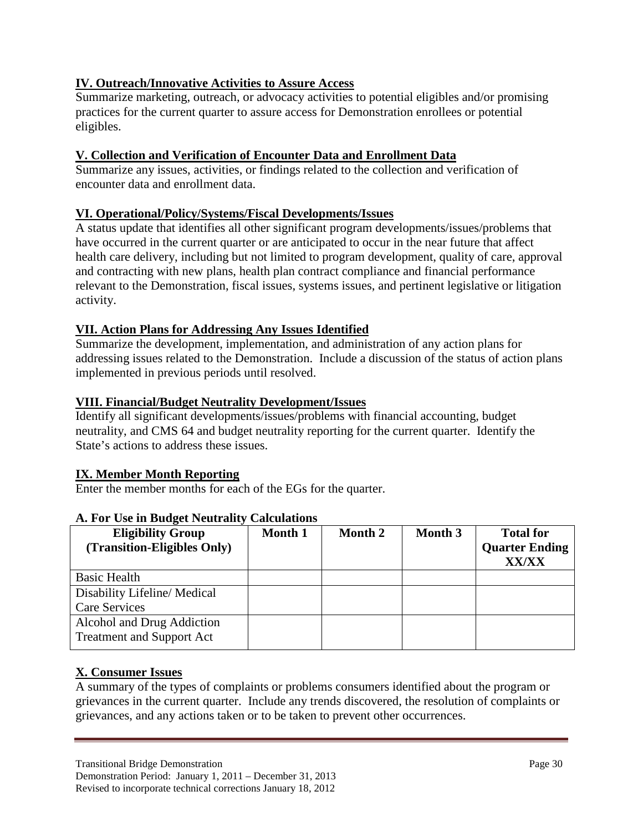# **IV. Outreach/Innovative Activities to Assure Access**

Summarize marketing, outreach, or advocacy activities to potential eligibles and/or promising practices for the current quarter to assure access for Demonstration enrollees or potential eligibles.

# **V. Collection and Verification of Encounter Data and Enrollment Data**

Summarize any issues, activities, or findings related to the collection and verification of encounter data and enrollment data.

## **VI. Operational/Policy/Systems/Fiscal Developments/Issues**

A status update that identifies all other significant program developments/issues/problems that have occurred in the current quarter or are anticipated to occur in the near future that affect health care delivery, including but not limited to program development, quality of care, approval and contracting with new plans, health plan contract compliance and financial performance relevant to the Demonstration, fiscal issues, systems issues, and pertinent legislative or litigation activity.

## **VII. Action Plans for Addressing Any Issues Identified**

Summarize the development, implementation, and administration of any action plans for addressing issues related to the Demonstration. Include a discussion of the status of action plans implemented in previous periods until resolved.

## **VIII. Financial/Budget Neutrality Development/Issues**

Identify all significant developments/issues/problems with financial accounting, budget neutrality, and CMS 64 and budget neutrality reporting for the current quarter. Identify the State's actions to address these issues.

## **IX. Member Month Reporting**

Enter the member months for each of the EGs for the quarter.

| <b>Eligibility Group</b><br>(Transition-Eligibles Only) | Month 1 | Month 2 | <b>Month 3</b> | <b>Total for</b><br><b>Quarter Ending</b><br><b>XX/XX</b> |
|---------------------------------------------------------|---------|---------|----------------|-----------------------------------------------------------|
| <b>Basic Health</b>                                     |         |         |                |                                                           |
| Disability Lifeline/Medical                             |         |         |                |                                                           |
| <b>Care Services</b>                                    |         |         |                |                                                           |
| Alcohol and Drug Addiction                              |         |         |                |                                                           |
| <b>Treatment and Support Act</b>                        |         |         |                |                                                           |

## **A. For Use in Budget Neutrality Calculations**

#### **X. Consumer Issues**

A summary of the types of complaints or problems consumers identified about the program or grievances in the current quarter. Include any trends discovered, the resolution of complaints or grievances, and any actions taken or to be taken to prevent other occurrences.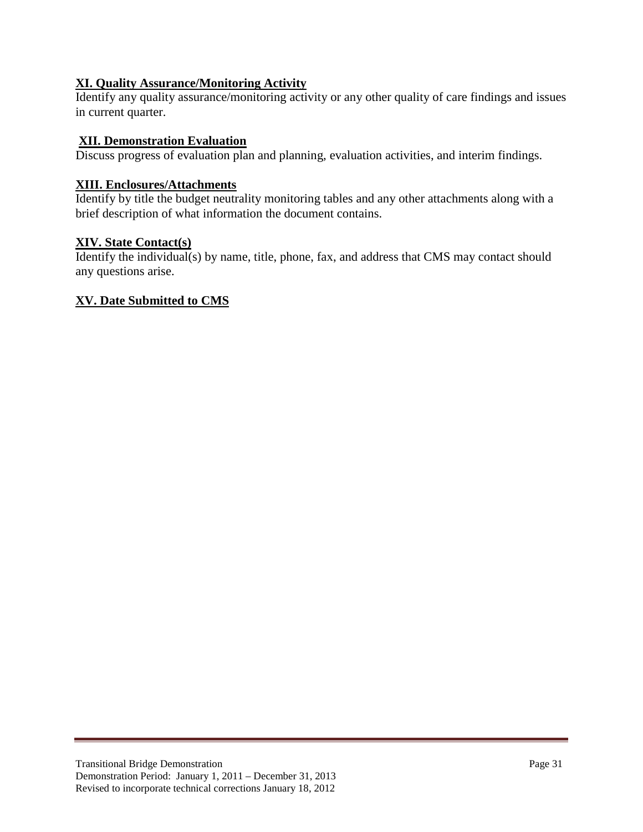## **XI. Quality Assurance/Monitoring Activity**

Identify any quality assurance/monitoring activity or any other quality of care findings and issues in current quarter.

#### **XII. Demonstration Evaluation**

Discuss progress of evaluation plan and planning, evaluation activities, and interim findings.

#### **XIII. Enclosures/Attachments**

Identify by title the budget neutrality monitoring tables and any other attachments along with a brief description of what information the document contains.

### **XIV. State Contact(s)**

Identify the individual(s) by name, title, phone, fax, and address that CMS may contact should any questions arise.

#### **XV. Date Submitted to CMS**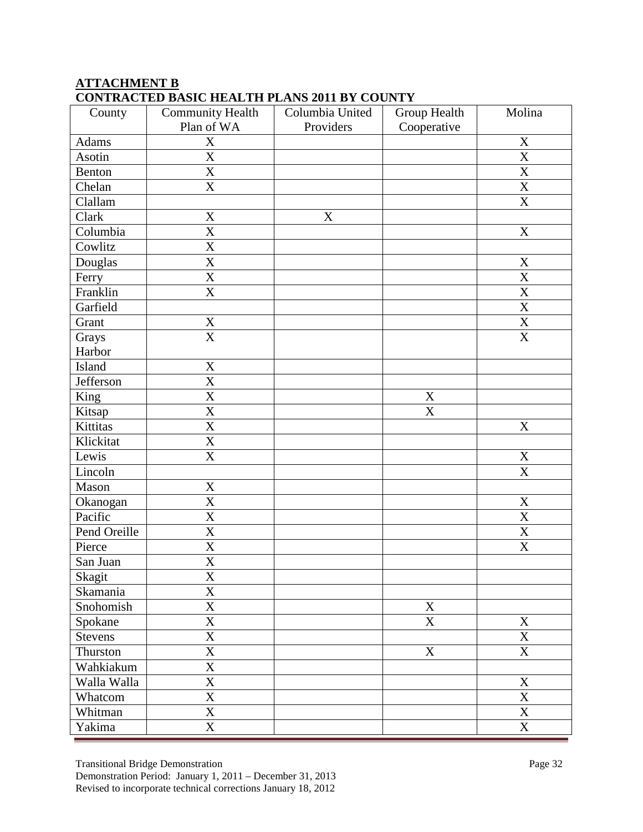# **ATTACHMENT B CONTRACTED BASIC HEALTH PLANS 2011 BY COUNTY**

| County         | Community Health        | Columbia United | Group Health              | Molina                  |
|----------------|-------------------------|-----------------|---------------------------|-------------------------|
|                | Plan of WA              | Providers       | Cooperative               |                         |
| Adams          | $\mathbf X$             |                 |                           | $\mathbf X$             |
| Asotin         | $\overline{\text{X}}$   |                 |                           | $\overline{\text{X}}$   |
| Benton         | $\overline{\text{X}}$   |                 |                           | $\overline{\text{X}}$   |
| Chelan         | $\overline{\text{X}}$   |                 |                           | $\overline{X}$          |
| Clallam        |                         |                 |                           | $\overline{\text{X}}$   |
| Clark          | $\mathbf X$             | X               |                           |                         |
| Columbia       | X                       |                 |                           | X                       |
| Cowlitz        | $\overline{\text{X}}$   |                 |                           |                         |
| Douglas        | $\mathbf X$             |                 |                           | $\mathbf X$             |
| Ferry          | $\mathbf X$             |                 |                           | $\mathbf X$             |
| Franklin       | $\overline{\text{X}}$   |                 |                           | $\overline{\text{X}}$   |
| Garfield       |                         |                 |                           | $\overline{\mathbf{X}}$ |
| Grant          | $\mathbf X$             |                 |                           | $\overline{X}$          |
| Grays          | $\overline{\mathbf{X}}$ |                 |                           | $\overline{\mathbf{X}}$ |
| Harbor         |                         |                 |                           |                         |
| Island         | X                       |                 |                           |                         |
| Jefferson      | $\mathbf X$             |                 |                           |                         |
| King           | X                       |                 | $\mathbf X$               |                         |
| Kitsap         | X                       |                 | X                         |                         |
| Kittitas       | X                       |                 |                           | X                       |
| Klickitat      | $\mathbf X$             |                 |                           |                         |
| Lewis          | X                       |                 |                           | $\mathbf X$             |
| Lincoln        |                         |                 |                           | $\overline{\text{X}}$   |
| Mason          | $\overline{\text{X}}$   |                 |                           |                         |
| Okanogan       | $\mathbf X$             |                 |                           | $\mathbf X$             |
| Pacific        | $\overline{\text{X}}$   |                 |                           | $\overline{X}$          |
| Pend Oreille   | X                       |                 |                           | $\mathbf X$             |
| Pierce         | $\overline{\mathbf{X}}$ |                 |                           | $\overline{\text{X}}$   |
| San Juan       | X                       |                 |                           |                         |
| Skagit         | $\overline{\textbf{X}}$ |                 |                           |                         |
| Skamania       | $\mathbf X$             |                 |                           |                         |
| Snohomish      | $\overline{\text{X}}$   |                 | $\boldsymbol{\mathrm{X}}$ |                         |
| Spokane        | $\mathbf X$             |                 | X                         | $\mathbf X$             |
| <b>Stevens</b> | X                       |                 |                           | $\mathbf X$             |
| Thurston       | $\mathbf X$             |                 | $\mathbf X$               | $\mathbf X$             |
| Wahkiakum      | X                       |                 |                           |                         |
| Walla Walla    | $\overline{\text{X}}$   |                 |                           | $\mathbf X$             |
| Whatcom        | $\overline{\text{X}}$   |                 |                           | $\overline{\mathbf{X}}$ |
| Whitman        | $\overline{\text{X}}$   |                 |                           | $\overline{X}$          |
| Yakima         | $\overline{\text{X}}$   |                 |                           | $\overline{\text{X}}$   |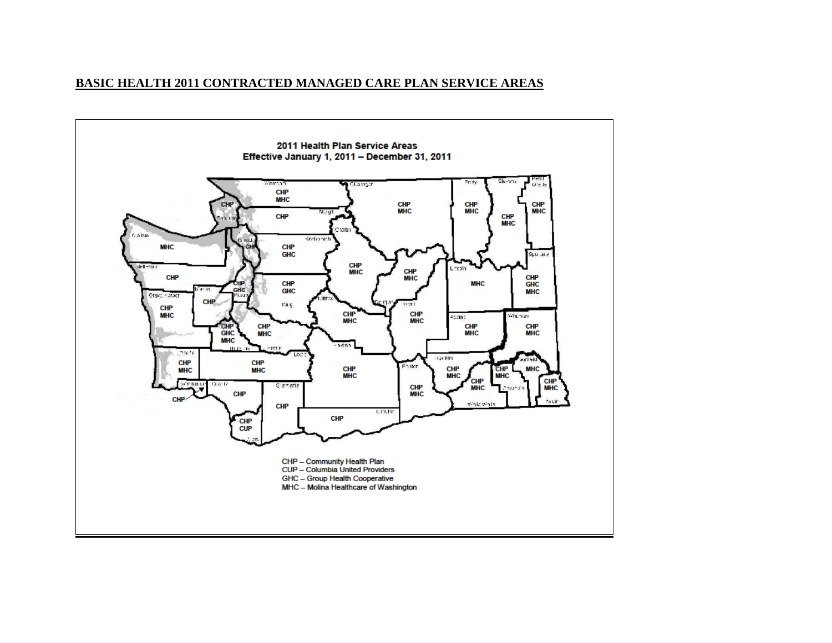#### **BASIC HEALTH 2011 CONTRACTED MANAGED CARE PLAN SERVICE AREAS**

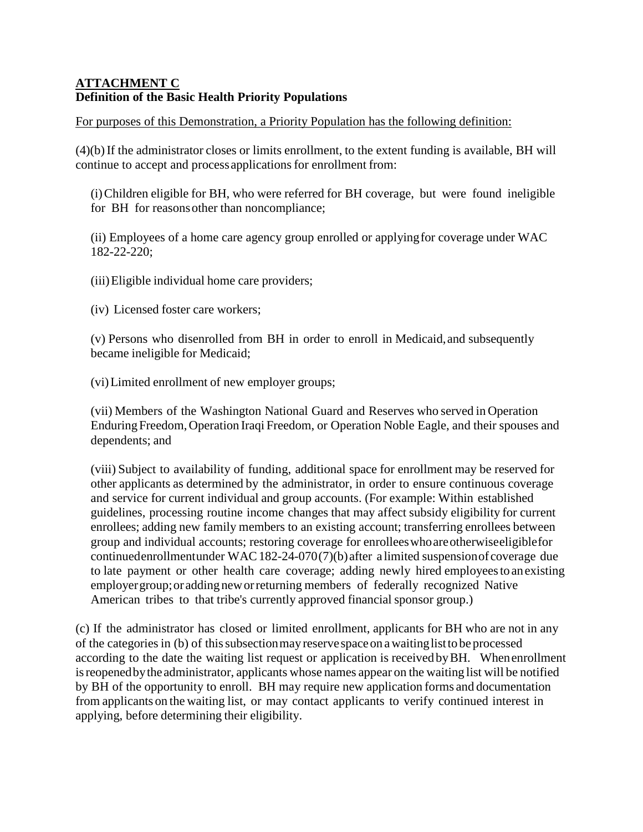## **ATTACHMENT C Definition of the Basic Health Priority Populations**

For purposes of this Demonstration, a Priority Population has the following definition:

(4)(b)If the administrator closes or limits enrollment, to the extent funding is available, BH will continue to accept and process applications for enrollment from:

(i) Children eligible for BH, who were referred for BH coverage, but were found ineligible for BH for reasons other than noncompliance;

(ii) Employees of a home care agency group enrolled or applying for coverage under WAC 182-22-220;

(iii)Eligible individual home care providers;

(iv) Licensed foster care workers;

(v) Persons who disenrolled from BH in order to enroll in Medicaid,and subsequently became ineligible for Medicaid;

(vi)Limited enrollment of new employer groups;

(vii) Members of the Washington National Guard and Reserves who served in Operation Enduring Freedom, Operation Iraqi Freedom, or Operation Noble Eagle, and their spouses and dependents; and

(viii) Subject to availability of funding, additional space for enrollment may be reserved for other applicants as determined by the administrator, in order to ensure continuous coverage and service for current individual and group accounts. (For example: Within established guidelines, processing routine income changes that may affect subsidy eligibility for current enrollees; adding new family members to an existing account; transferring enrollees between group and individual accounts; restoring coverage for enrolleeswhoare otherwise eligiblefor continued enrollment under WAC 182-24-070(7)(b) after a limited suspension of coverage due to late payment or other health care coverage; adding newly hired employeestoanexisting employer group; or adding new or returning members of federally recognized Native American tribes to that tribe's currently approved financial sponsor group.)

(c) If the administrator has closed or limited enrollment, applicants for BH who are not in any of the categories in (b) of this subsection may reservespace on a waitinglistto be processed according to the date the waiting list request or application is received byBH. When enrollment isreopenedby the administrator, applicants whose names appear on the waiting list will be notified by BH of the opportunity to enroll. BH may require new application forms and documentation from applicants on the waiting list, or may contact applicants to verify continued interest in applying, before determining their eligibility.